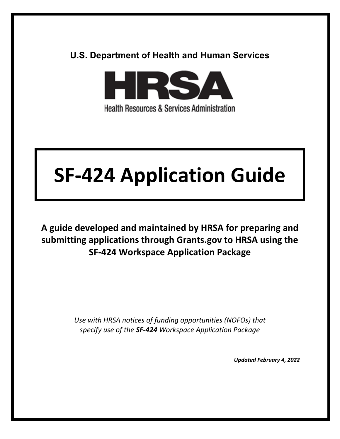# **U.S. Department of Health and Human Services**



**Health Resources & Services Administration** 

# **SF-424 Application Guide**

**A guide developed and maintained by HRSA for preparing and submitting applications through Grants.gov to HRSA using the SF-424 Workspace Application Package** 

> *Use with HRSA notices of funding opportunities (NOFOs) that specify use of the SF-424 Workspace Application Package*

> > *Updated February 4, 2022*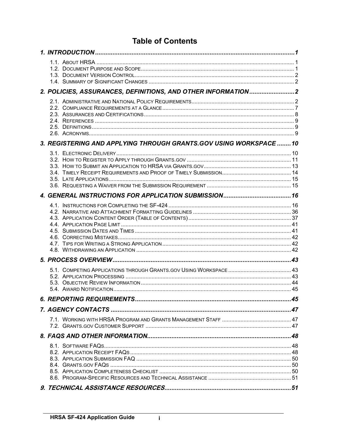# **Table of Contents**

|  | 2. POLICIES, ASSURANCES, DEFINITIONS, AND OTHER INFORMATION2       |  |
|--|--------------------------------------------------------------------|--|
|  |                                                                    |  |
|  |                                                                    |  |
|  |                                                                    |  |
|  |                                                                    |  |
|  |                                                                    |  |
|  | 3. REGISTERING AND APPLYING THROUGH GRANTS.GOV USING WORKSPACE  10 |  |
|  |                                                                    |  |
|  |                                                                    |  |
|  |                                                                    |  |
|  |                                                                    |  |
|  |                                                                    |  |
|  |                                                                    |  |
|  |                                                                    |  |
|  |                                                                    |  |
|  |                                                                    |  |
|  |                                                                    |  |
|  |                                                                    |  |
|  |                                                                    |  |
|  |                                                                    |  |
|  |                                                                    |  |
|  |                                                                    |  |
|  |                                                                    |  |
|  |                                                                    |  |
|  |                                                                    |  |
|  |                                                                    |  |
|  |                                                                    |  |
|  | 7. AGENCY CONTACTS ………………………………………………………………………………………47             |  |
|  |                                                                    |  |
|  |                                                                    |  |
|  |                                                                    |  |
|  |                                                                    |  |
|  |                                                                    |  |
|  |                                                                    |  |
|  |                                                                    |  |
|  |                                                                    |  |
|  |                                                                    |  |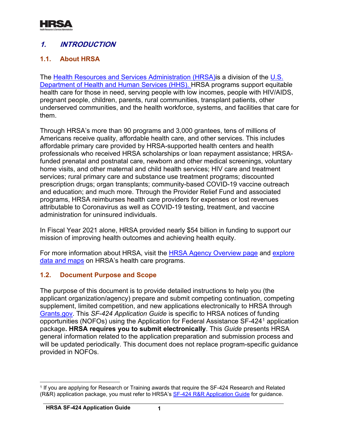

# <span id="page-2-0"></span>**1. INTRODUCTION**

## <span id="page-2-1"></span>**1.1. About HRSA**

The [Health Resources and Services Administration \(HRSA\)i](http://www.hrsa.gov/)s a division of the [U.S.](http://www.hhs.gov/)  [Department of Health and Human Services \(HHS\).](http://www.hhs.gov/) HRSA programs support equitable health care for those in need, serving people with low incomes, people with HIV/AIDS, pregnant people, children, parents, rural communities, transplant patients, other underserved communities, and the health workforce, systems, and facilities that care for them.

Through HRSA's more than 90 programs and 3,000 grantees, tens of millions of Americans receive quality, affordable health care, and other services. This includes affordable primary care provided by HRSA-supported health centers and health professionals who received HRSA scholarships or loan repayment assistance; HRSAfunded prenatal and postnatal care, newborn and other medical screenings, voluntary home visits, and other maternal and child health services; HIV care and treatment services; rural primary care and substance use treatment programs; discounted prescription drugs; organ transplants; community-based COVID-19 vaccine outreach and education; and much more. Through the Provider Relief Fund and associated programs, HRSA reimburses health care providers for expenses or lost revenues attributable to Coronavirus as well as COVID-19 testing, treatment, and vaccine administration for uninsured individuals.

In Fiscal Year 2021 alone, HRSA provided nearly \$54 billion in funding to support our mission of improving health outcomes and achieving health equity.

For more information about HRSA, visit the [HRSA Agency Overview page](https://www.hrsa.gov/about/agency-overview) and [explore](https://data.hrsa.gov/)  [data and maps](https://data.hrsa.gov/) on HRSA's health care programs.

## <span id="page-2-2"></span>**1.2. Document Purpose and Scope**

The purpose of this document is to provide detailed instructions to help you (the applicant organization/agency) prepare and submit competing continuation, competing supplement, limited competition, and new applications electronically to HRSA through [Grants.gov.](https://www.grants.gov/) This *SF-424 Application Guide* is specific to HRSA notices of funding opportunities (NOFOs) using the Application for Federal Assistance SF-424[1](#page-2-3) application package**. HRSA requires you to submit electronically**. This *Guide* presents HRSA general information related to the application preparation and submission process and will be updated periodically. This document does not replace program-specific guidance provided in NOFOs.

<span id="page-2-3"></span><sup>(</sup>R&R) application package, you must refer to HRSA's <u>SF-424 R&R Application Guide</u> for guidance. <sup>1</sup> If you are applying for Research or Training awards that require the SF-424 Research and Related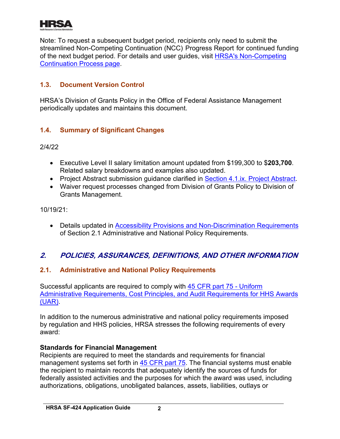

Note: To request a subsequent budget period, recipients only need to submit the streamlined Non-Competing Continuation (NCC) Progress Report for continued funding of the next budget period. For details and user guides, visit [HRSA's Non-Competing](http://www.hrsa.gov/grants/noncompetingcontinuations/index.html)  [Continuation Process](http://www.hrsa.gov/grants/noncompetingcontinuations/index.html) page.

## <span id="page-3-0"></span>**1.3. Document Version Control**

HRSA's Division of Grants Policy in the Office of Federal Assistance Management periodically updates and maintains this document.

## <span id="page-3-1"></span>**1.4. Summary of Significant Changes**

2/4/22

- Executive Level II salary limitation amount updated from \$199,300 to \$**203,700**. Related salary breakdowns and examples also updated.
- Project Abstract submission guidance clarified in [Section 4.1.ix. Project Abstract.](#page-36-0)
- Waiver request processes changed from Division of Grants Policy to Division of Grants Management.

10/19/21:

• Details updated in **Accessibility Provisions and Non-Discrimination Requirements** of Section 2.1 Administrative and National Policy Requirements.

# <span id="page-3-2"></span>**2. POLICIES, ASSURANCES, DEFINITIONS, AND OTHER INFORMATION**

## <span id="page-3-3"></span>**2.1. Administrative and National Policy Requirements**

Successful applicants are required to comply with [45 CFR part 75 - Uniform](http://www.ecfr.gov/cgi-bin/retrieveECFR?gp=1&SID=4d52364ec83fab994c665943dadf9cf7&ty=HTML&h=L&r=PART&n=pt45.1.75)  [Administrative Requirements, Cost Principles, and Audit Requirements for HHS Awards](http://www.ecfr.gov/cgi-bin/retrieveECFR?gp=1&SID=4d52364ec83fab994c665943dadf9cf7&ty=HTML&h=L&r=PART&n=pt45.1.75) (UAR).

In addition to the numerous administrative and national policy requirements imposed by regulation and HHS policies, HRSA stresses the following requirements of every award:

## **Standards for Financial Management**

Recipients are required to meet the standards and requirements for financial management systems set forth in [45 CFR part 75.](http://www.ecfr.gov/cgi-bin/retrieveECFR?gp=1&SID=4d52364ec83fab994c665943dadf9cf7&ty=HTML&h=L&r=PART&n=pt45.1.75) The financial systems must enable the recipient to maintain records that adequately identify the sources of funds for federally assisted activities and the purposes for which the award was used, including authorizations, obligations, unobligated balances, assets, liabilities, outlays or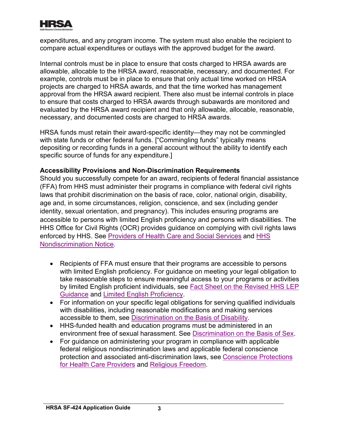

expenditures, and any program income. The system must also enable the recipient to compare actual expenditures or outlays with the approved budget for the award.

Internal controls must be in place to ensure that costs charged to HRSA awards are allowable, allocable to the HRSA award, reasonable, necessary, and documented. For example, controls must be in place to ensure that only actual time worked on HRSA projects are charged to HRSA awards, and that the time worked has management approval from the HRSA award recipient. There also must be internal controls in place to ensure that costs charged to HRSA awards through subawards are monitored and evaluated by the HRSA award recipient and that only allowable, allocable, reasonable, necessary, and documented costs are charged to HRSA awards.

HRSA funds must retain their award-specific identity—they may not be commingled with state funds or other federal funds. ["Commingling funds" typically means depositing or recording funds in a general account without the ability to identify each specific source of funds for any expenditure.]

#### <span id="page-4-0"></span>**Accessibility Provisions and Non-Discrimination Requirements**

Should you successfully compete for an award, recipients of federal financial assistance (FFA) from HHS must administer their programs in compliance with federal civil rights laws that prohibit discrimination on the basis of race, color, national origin, disability, age and, in some circumstances, religion, conscience, and sex (including gender identity, sexual orientation, and pregnancy). This includes ensuring programs are accessible to persons with limited English proficiency and persons with disabilities. The HHS Office for Civil Rights (OCR) provides guidance on complying with civil rights laws enforced by HHS. See [Providers of Health Care and Social Services](https://www.hhs.gov/civil-rights/for-providers/provider-obligations/index.html) and [HHS](https://www.hhs.gov/civil-rights/for-individuals/nondiscrimination/index.html)  [Nondiscrimination Notice.](https://www.hhs.gov/civil-rights/for-individuals/nondiscrimination/index.html)

- . [Guidance](https://www.hhs.gov/civil-rights/for-individuals/special-topics/limited-english-proficiency/fact-sheet-guidance/index.html) and [Limited English Proficiency](https://www.lep.gov/) • Recipients of FFA must ensure that their programs are accessible to persons with limited English proficiency. For guidance on meeting your legal obligation to take reasonable steps to ensure meaningful access to your programs or activities by limited English proficient individuals, see [Fact Sheet on the Revised HHS LEP](https://www.hhs.gov/civil-rights/for-individuals/special-topics/limited-english-proficiency/fact-sheet-guidance/index.html)
- accessible to them, see <u>[Discrimination on the Basis of Disability](http://www.hhs.gov/ocr/civilrights/understanding/disability/index.html)</u> . • For information on your specific legal obligations for serving qualified individuals with disabilities, including reasonable modifications and making services
- environment free of sexual harassment. See <u>[Discrimination on the Basis of Sex](https://www.hhs.gov/civil-rights/for-individuals/sex-discrimination/index.html)</u>. • HHS-funded health and education programs must be administered in an
- <u>[for Health Care Providers](https://www.hhs.gov/conscience/conscience-protections/index.html)</u> and <u>Religious Freedom</u> • For guidance on administering your program in compliance with applicable federal religious nondiscrimination laws and applicable federal conscience protection and associated anti-discrimination laws, see [Conscience Protections](https://www.hhs.gov/conscience/conscience-protections/index.html)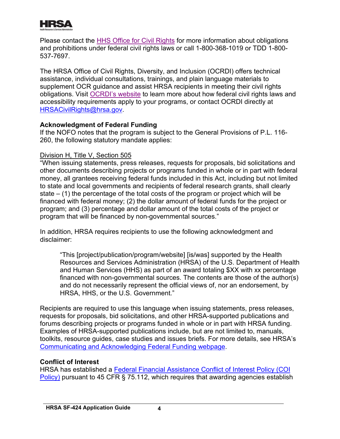

Please contact the [HHS Office for Civil Rights](https://www.hhs.gov/ocr/about-us/contact-us/index.html) for more information about obligations and prohibitions under federal civil rights laws or call 1-800-368-1019 or TDD 1-800- 537-7697.

The HRSA Office of Civil Rights, Diversity, and Inclusion (OCRDI) offers technical assistance, individual consultations, trainings, and plain language materials to supplement OCR guidance and assist HRSA recipients in meeting their civil rights obligations. Visit [OCRDI's website](https://www.hrsa.gov/about/organization/bureaus/ocrdi#recipients) to learn more about how federal civil rights laws and accessibility requirements apply to your programs, or contact OCRDI directly at [HRSACivilRights@hrsa.gov.](mailto:HRSACivilRights@hrsa.gov)

## **Acknowledgment of Federal Funding**

If the NOFO notes that the program is subject to the General Provisions of P.L. 116- 260, the following statutory mandate applies:

#### Division H, Title V, Section 505

"When issuing statements, press releases, requests for proposals, bid solicitations and other documents describing projects or programs funded in whole or in part with federal money, all grantees receiving federal funds included in this Act, including but not limited to state and local governments and recipients of federal research grants, shall clearly state  $-$  (1) the percentage of the total costs of the program or project which will be financed with federal money; (2) the dollar amount of federal funds for the project or program; and (3) percentage and dollar amount of the total costs of the project or program that will be financed by non-governmental sources."

In addition, HRSA requires recipients to use the following acknowledgment and disclaimer:

"This [project/publication/program/website] [is/was] supported by the Health Resources and Services Administration (HRSA) of the U.S. Department of Health and Human Services (HHS) as part of an award totaling \$XX with xx percentage financed with non-governmental sources. The contents are those of the author(s) and do not necessarily represent the official views of, nor an endorsement, by HRSA, HHS, or the U.S. Government."

. [Communicating and Acknowledging Federal Funding webpage](https://www.hrsa.gov/grants/manage/acknowledge-hrsa-funding) Recipients are required to use this language when issuing statements, press releases, requests for proposals, bid solicitations, and other HRSA-supported publications and forums describing projects or programs funded in whole or in part with HRSA funding. Examples of HRSA-supported publications include, but are not limited to, manuals, toolkits, resource guides, case studies and issues briefs. For more details, see HRSA's

## **Conflict of Interest**

HRSA has established a [Federal Financial Assistance Conflict of Interest Policy \(COI](https://www.hrsa.gov/sites/default/files/hrsa/grants/manage/HRSA_COI_Policy.pdf)  [Policy\)](https://www.hrsa.gov/sites/default/files/hrsa/grants/manage/HRSA_COI_Policy.pdf) pursuant to 45 CFR § 75.112, which requires that awarding agencies establish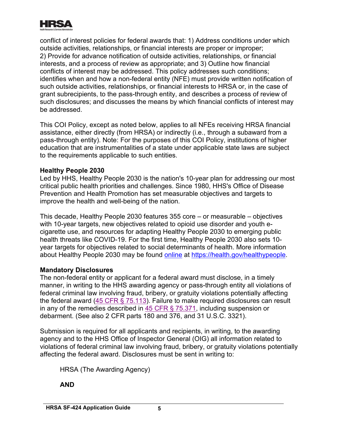

conflict of interest policies for federal awards that: 1) Address conditions under which outside activities, relationships, or financial interests are proper or improper; 2) Provide for advance notification of outside activities, relationships, or financial interests, and a process of review as appropriate; and 3) Outline how financial conflicts of interest may be addressed. This policy addresses such conditions; identifies when and how a non-federal entity (NFE) must provide written notification of such outside activities, relationships, or financial interests to HRSA or, in the case of grant subrecipients, to the pass-through entity, and describes a process of review of such disclosures; and discusses the means by which financial conflicts of interest may be addressed.

This COI Policy, except as noted below, applies to all NFEs receiving HRSA financial assistance, either directly (from HRSA) or indirectly (i.e., through a subaward from a pass-through entity). Note: For the purposes of this COI Policy, institutions of higher education that are instrumentalities of a state under applicable state laws are subject to the requirements applicable to such entities.

#### **Healthy People 2030**

Led by HHS, Healthy People 2030 is the nation's 10-year plan for addressing our most critical public health priorities and challenges. Since 1980, HHS's Office of Disease Prevention and Health Promotion has set measurable objectives and targets to improve the health and well-being of the nation.

This decade, Healthy People 2030 features 355 core – or measurable – objectives with 10-year targets, new objectives related to opioid use disorder and youth ecigarette use, and resources for adapting Healthy People 2030 to emerging public health threats like COVID-19. For the first time, Healthy People 2030 also sets 10 year targets for objectives related to social determinants of health. More information about Healthy People 2030 may be found [online](https://health.gov/healthypeople) at [https://health.gov/healthypeople.](https://health.gov/healthypeople)

#### **Mandatory Disclosures**

The non-federal entity or applicant for a federal award must disclose, in a timely manner, in writing to the HHS awarding agency or pass-through entity all violations of federal criminal law involving fraud, bribery, or gratuity violations potentially affecting the federal award [\(45 CFR § 75.113\)](https://www.ecfr.gov/cgi-bin/retrieveECFR?gp=1&SID=4d52364ec83fab994c665943dadf9cf7&ty=HTML&h=L&r=PART&n=pt45.1.75). Failure to make required disclosures can result in any of the remedies described in [45 CFR § 75.371,](https://www.ecfr.gov/cgi-bin/retrieveECFR?gp=1&SID=4d52364ec83fab994c665943dadf9cf7&ty=HTML&h=L&r=PART&n=pt45.1.75) including suspension or debarment. (See also 2 CFR parts 180 and 376, and 31 U.S.C. 3321).

Submission is required for all applicants and recipients, in writing, to the awarding agency and to the HHS Office of Inspector General (OIG) all information related to violations of federal criminal law involving fraud, bribery, or gratuity violations potentially affecting the federal award. Disclosures must be sent in writing to:

HRSA (The Awarding Agency)

**AND**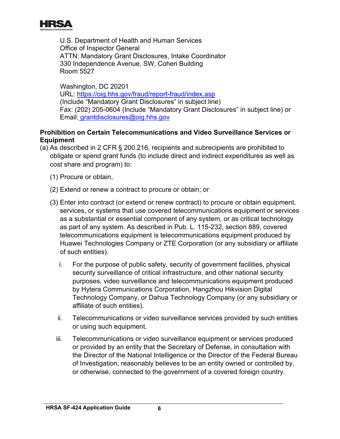

U.S. Department of Health and Human Services Office of Inspector General ATTN: Mandatory Grant Disclosures, Intake Coordinator 330 Independence Avenue, SW, Cohen Building Room 5527

Washington, DC 20201 URL: <https://oig.hhs.gov/fraud/report-fraud/index.asp> (Include "Mandatory Grant Disclosures" in subject line) Fax: (202) 205-0604 (Include "Mandatory Grant Disclosures" in subject line) or Email: grantdisclosures@oig.hhs.gov

## **Prohibition on Certain Telecommunications and Video Surveillance Services or Equipment**

- (a) As described in 2 CFR § 200.216, recipients and subrecipients are prohibited to obligate or spend grant funds (to include direct and indirect expenditures as well as cost share and program) to:
	- (1) Procure or obtain,
	- (2) Extend or renew a contract to procure or obtain; or
	- (3) Enter into contract (or extend or renew contract) to procure or obtain equipment, services, or systems that use covered telecommunications equipment or services as a substantial or essential component of any system, or as critical technology as part of any system. As described in Pub. L. 115-232, section 889, covered telecommunications equipment is telecommunications equipment produced by Huawei Technologies Company or ZTE Corporation (or any subsidiary or affiliate of such entities).
		- i. For the purpose of public safety, security of government facilities, physical security surveillance of critical infrastructure, and other national security purposes, video surveillance and telecommunications equipment produced by Hytera Communications Corporation, Hangzhou Hikvision Digital Technology Company, or Dahua Technology Company (or any subsidiary or affiliate of such entities).
		- ii. Telecommunications or video surveillance services provided by such entities or using such equipment.
		- iii. Telecommunications or video surveillance equipment or services produced or provided by an entity that the Secretary of Defense, in consultation with the Director of the National Intelligence or the Director of the Federal Bureau of Investigation, reasonably believes to be an entity owned or controlled by, or otherwise, connected to the government of a covered foreign country.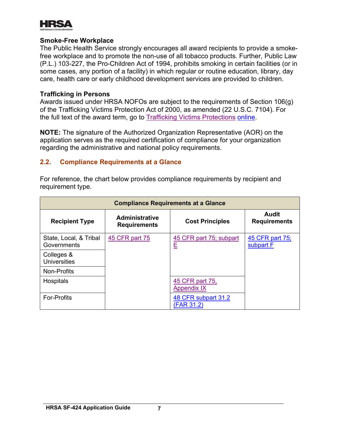

#### **Smoke-Free Workplace**

The Public Health Service strongly encourages all award recipients to provide a smokefree workplace and to promote the non-use of all tobacco products. Further, Public Law (P.L.) 103-227, the Pro-Children Act of 1994, prohibits smoking in certain facilities (or in some cases, any portion of a facility) in which regular or routine education, library, day care, health care or early childhood development services are provided to children.

#### **Trafficking in Persons**

Awards issued under HRSA NOFOs are subject to the requirements of Section 106(g) of the Trafficking Victims Protection Act of 2000, as amended (22 U.S.C. 7104). For the full text of the award term, go to [Trafficking Victims Protections](https://www.hrsa.gov/sites/default/files/hrsa/grants/manage/trafficking-in-persons.pdf) [online.](https://www.hrsa.gov/sites/default/files/hrsa/grants/manage/trafficking-in-persons.pdf)

**NOTE:** The signature of the Authorized Organization Representative (AOR) on the application serves as the required certification of compliance for your organization regarding the administrative and national policy requirements.

#### <span id="page-8-0"></span>**2.2. Compliance Requirements at a Glance**

For reference, the chart below provides compliance requirements by recipient and requirement type.

| <b>Compliance Requirements at a Glance</b> |                                              |                                       |                                     |  |
|--------------------------------------------|----------------------------------------------|---------------------------------------|-------------------------------------|--|
| <b>Recipient Type</b>                      | <b>Administrative</b><br><b>Requirements</b> | <b>Cost Principles</b>                | <b>Audit</b><br><b>Requirements</b> |  |
| State, Local, & Tribal<br>Governments      | 45 CFR part 75                               | 45 CFR part 75; subpart<br>E          | 45 CFR part 75;<br>subpart F        |  |
| Colleges &<br><b>Universities</b>          |                                              |                                       |                                     |  |
| Non-Profits                                |                                              |                                       |                                     |  |
| Hospitals                                  |                                              | 45 CFR part 75,<br><b>Appendix IX</b> |                                     |  |
| <b>For-Profits</b>                         |                                              | 48 CFR subpart 31.2<br>(FAR 31.2)     |                                     |  |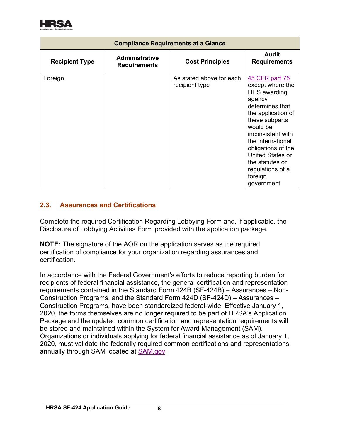

| <b>Compliance Requirements at a Glance</b> |                                              |                                            |                                                                                                                                                                                                                                                                                                 |  |
|--------------------------------------------|----------------------------------------------|--------------------------------------------|-------------------------------------------------------------------------------------------------------------------------------------------------------------------------------------------------------------------------------------------------------------------------------------------------|--|
| <b>Recipient Type</b>                      | <b>Administrative</b><br><b>Requirements</b> | <b>Cost Principles</b>                     | Audit<br><b>Requirements</b>                                                                                                                                                                                                                                                                    |  |
| Foreign                                    |                                              | As stated above for each<br>recipient type | 45 CFR part 75<br>except where the<br><b>HHS</b> awarding<br>agency<br>determines that<br>the application of<br>these subparts<br>would be<br>inconsistent with<br>the international<br>obligations of the<br>United States or<br>the statutes or<br>regulations of a<br>foreign<br>government. |  |

## <span id="page-9-0"></span>**2.3. Assurances and Certifications**

Complete the required Certification Regarding Lobbying Form and, if applicable, the Disclosure of Lobbying Activities Form provided with the application package.

**NOTE:** The signature of the AOR on the application serves as the required certification of compliance for your organization regarding assurances and certification.

annually through SAM located at <u>SAM.gov</u> In accordance with the Federal Government's efforts to reduce reporting burden for recipients of federal financial assistance, the general certification and representation requirements contained in the Standard Form 424B (SF-424B) – Assurances – Non-Construction Programs, and the Standard Form 424D (SF-424D) – Assurances – Construction Programs, have been standardized federal-wide. Effective January 1, 2020, the forms themselves are no longer required to be part of HRSA's Application Package and the updated common certification and representation requirements will be stored and maintained within the System for Award Management (SAM). Organizations or individuals applying for federal financial assistance as of January 1, 2020, must validate the federally required common certifications and representations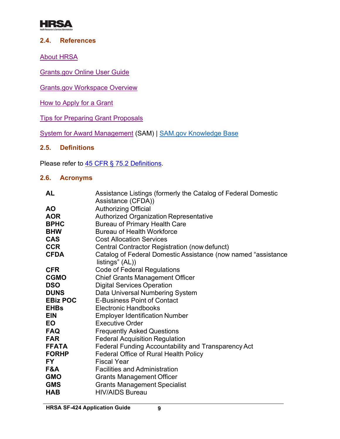

#### <span id="page-10-0"></span>**2.4. References**

[About HRSA](http://www.hrsa.gov/about/index.html)

[Grants.gov Online](http://www.grants.gov/help/html/help/index.htm) User Guide

[Grants.gov Workspace Overview](https://www.grants.gov/web/grants/applicants/workspace-overview.html)

[How to Apply for a](http://www.hrsa.gov/grants/apply/index.html) Grant

[Tips for Preparing Grant Proposals](https://www.hhs.gov/grants/grants/get-ready-for-grants-management/tips-for-preparing-grant-proposals/)

[System for Award Management](https://www.sam.gov/) (SAM) | [SAM.gov Knowledge Base](https://nam12.safelinks.protection.outlook.com/?url=https%3A%2F%2Fwww.fsd.gov%2Fgsafsd_sp%3Fid%3Dgsa_kb_view2%26kb_id%3Df66d8e6cdb76d4100d73f81d0f9619c6&data=04%7C01%7Ccshifflett%40dminc.com%7C8eee7a2adab549a3b3c008d925e9a364%7Cdb7ac9ef779d46e59bca00509580ad6b%7C0%7C0%7C637582507851821018%7CUnknown%7CTWFpbGZsb3d8eyJWIjoiMC4wLjAwMDAiLCJQIjoiV2luMzIiLCJBTiI6Ik1haWwiLCJXVCI6Mn0%3D%7C1000&sdata=UrR%2B%2FM2wWF2fZG05Z8O6JS2C3FXXSl%2F7B3%2FB45XHRrg%3D&reserved=0)

## <span id="page-10-1"></span>**2.5. Definitions**

Please refer to <u>45 CFR § 75.2 Definitions</u>

## <span id="page-10-2"></span>**2.6. Acronyms**

| <b>AL</b>       | Assistance Listings (formerly the Catalog of Federal Domestic                    |
|-----------------|----------------------------------------------------------------------------------|
|                 | Assistance (CFDA))                                                               |
| <b>AO</b>       | <b>Authorizing Official</b>                                                      |
| <b>AOR</b>      | <b>Authorized Organization Representative</b>                                    |
| <b>BPHC</b>     | <b>Bureau of Primary Health Care</b>                                             |
| <b>BHW</b>      | <b>Bureau of Health Workforce</b>                                                |
| <b>CAS</b>      | <b>Cost Allocation Services</b>                                                  |
| <b>CCR</b>      | Central Contractor Registration (now defunct)                                    |
| <b>CFDA</b>     | Catalog of Federal Domestic Assistance (now named "assistance<br>listings" (AL)) |
| <b>CFR</b>      | <b>Code of Federal Regulations</b>                                               |
| <b>CGMO</b>     | <b>Chief Grants Management Officer</b>                                           |
| <b>DSO</b>      | <b>Digital Services Operation</b>                                                |
| <b>DUNS</b>     | Data Universal Numbering System                                                  |
| <b>EBiz POC</b> | <b>E-Business Point of Contact</b>                                               |
| <b>EHBs</b>     | <b>Electronic Handbooks</b>                                                      |
| <b>EIN</b>      | <b>Employer Identification Number</b>                                            |
| EO.             | <b>Executive Order</b>                                                           |
| <b>FAQ</b>      | <b>Frequently Asked Questions</b>                                                |
| <b>FAR</b>      | <b>Federal Acquisition Regulation</b>                                            |
| <b>FFATA</b>    | Federal Funding Accountability and Transparency Act                              |
| <b>FORHP</b>    | Federal Office of Rural Health Policy                                            |
| <b>FY</b>       | <b>Fiscal Year</b>                                                               |
| F&A             | <b>Facilities and Administration</b>                                             |
| <b>GMO</b>      | <b>Grants Management Officer</b>                                                 |
| <b>GMS</b>      | <b>Grants Management Specialist</b>                                              |
| <b>HAB</b>      | <b>HIV/AIDS Bureau</b>                                                           |
|                 |                                                                                  |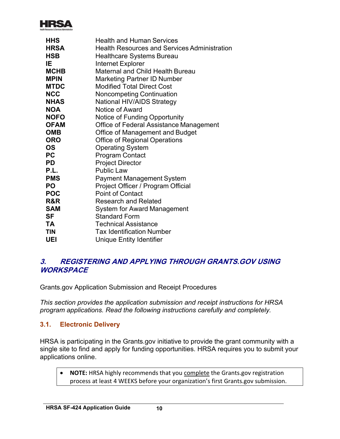

| <b>HHS</b>  | <b>Health and Human Services</b>                    |
|-------------|-----------------------------------------------------|
| <b>HRSA</b> | <b>Health Resources and Services Administration</b> |
| <b>HSB</b>  | <b>Healthcare Systems Bureau</b>                    |
| IE.         | <b>Internet Explorer</b>                            |
| <b>MCHB</b> | <b>Maternal and Child Health Bureau</b>             |
| <b>MPIN</b> | <b>Marketing Partner ID Number</b>                  |
| <b>MTDC</b> | <b>Modified Total Direct Cost</b>                   |
| <b>NCC</b>  | <b>Noncompeting Continuation</b>                    |
| <b>NHAS</b> | <b>National HIV/AIDS Strategy</b>                   |
| <b>NOA</b>  | Notice of Award                                     |
| <b>NOFO</b> | <b>Notice of Funding Opportunity</b>                |
| <b>OFAM</b> | Office of Federal Assistance Management             |
| <b>OMB</b>  | Office of Management and Budget                     |
| <b>ORO</b>  | <b>Office of Regional Operations</b>                |
| OS          | <b>Operating System</b>                             |
| РC          | <b>Program Contact</b>                              |
| <b>PD</b>   | <b>Project Director</b>                             |
| P.L.        | <b>Public Law</b>                                   |
| <b>PMS</b>  | <b>Payment Management System</b>                    |
| PO          | Project Officer / Program Official                  |
| <b>POC</b>  | <b>Point of Contact</b>                             |
| R&R         | <b>Research and Related</b>                         |
| <b>SAM</b>  | System for Award Management                         |
| SF          | <b>Standard Form</b>                                |
| <b>TA</b>   | <b>Technical Assistance</b>                         |
| <b>TIN</b>  | <b>Tax Identification Number</b>                    |
| UEI         | Unique Entity Identifier                            |

## <span id="page-11-0"></span>**3. REGISTERING AND APPLYING THROUGH GRANTS.GOV USING WORKSPACE**

Grants.gov Application Submission and Receipt Procedures

*This section provides the application submission and receipt instructions for HRSA program applications. Read the following instructions carefully and completely.*

## <span id="page-11-1"></span>**3.1. Electronic Delivery**

HRSA is participating in the Grants.gov initiative to provide the grant community with a single site to find and apply for funding opportunities. HRSA requires you to submit your applications online.

• **NOTE:** HRSA highly recommends that you complete the Grants.gov registration process at least 4 WEEKS before your organization's first Grants.gov submission.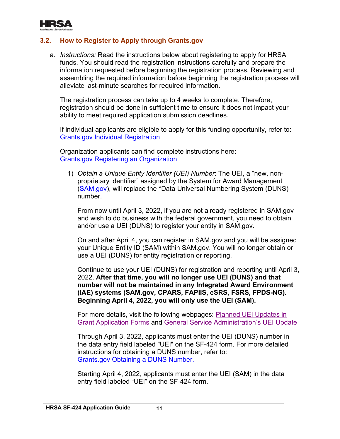

## <span id="page-12-0"></span>**3.2. How to Register to Apply through Grants.gov**

a. *Instructions:* Read the instructions below about registering to apply for HRSA funds. You should read the registration instructions carefully and prepare the information requested before beginning the registration process. Reviewing and assembling the required information before beginning the registration process will alleviate last-minute searches for required information.

The registration process can take up to 4 weeks to complete. Therefore, registration should be done in sufficient time to ensure it does not impact your ability to meet required application submission deadlines.

. [Grants.gov Individual Registration](https://www.grants.gov/web/grants/applicants/registration.html?inheritRedirect=true) If individual applicants are eligible to apply for this funding opportunity, refer to:

Organization applicants can find complete instructions here: [Grants.gov Registering an Organization](https://www.grants.gov/web/grants/applicants/organization-registration.html)

1) *Obtain a Unique Entity Identifier (UEI) Number*: The UEI, a "new, nonproprietary identifier" assigned by the System for Award Management [\(SAM.gov\)](https://sam.gov/content/home), will replace the \*Data Universal Numbering System (DUNS) number.

From now until April 3, 2022, if you are not already registered in SAM.gov and wish to do business with the federal government, you need to obtain and/or use a UEI (DUNS) to register your entity in SAM.gov.

On and after April 4, you can register in SAM.gov and you will be assigned your Unique Entity ID (SAM) within SAM.gov. You will no longer obtain or use a UEI (DUNS) for entity registration or reporting.

Continue to use your UEI (DUNS) for registration and reporting until April 3, 2022. **After that time, you will no longer use UEI (DUNS) and that number will not be maintained in any Integrated Award Environment (IAE) systems (SAM.gov, CPARS, FAPIIS, eSRS, FSRS, FPDS-NG). Beginning April 4, 2022, you will only use the UEI (SAM).**

. [Grant Application Forms](https://www.grants.gov/web/grants/forms/planned-uei-updates.html) and [General Service Administration's UEI Update](https://www.gsa.gov/entityid) For more details, visit the following webpages: [Planned UEI Updates in](https://www.grants.gov/web/grants/forms/planned-uei-updates.html) 

Through April 3, 2022, applicants must enter the UEI (DUNS) number in the data entry field labeled "UEI" on the SF-424 form. For more detailed instructions for obtaining a DUNS number, refer to: [Grants.gov Obtaining a DUNS Number.](https://www.grants.gov/web/grants/applicants/organization-registration/step-1-obtain-duns-number.html)

Starting April 4, 2022, applicants must enter the UEI (SAM) in the data entry field labeled "UEI" on the SF-424 form.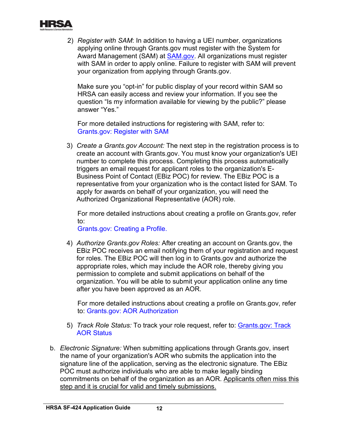

2) *Register with SAM*: In addition to having a UEI number, organizations applying online through Grants.gov must register with the System for Award Management (SAM) at [SAM.gov.](https://www.sam.gov/) All organizations must register with SAM in order to apply online. Failure to register with SAM will prevent your organization from applying through Grants.gov.

Make sure you "opt-in" for public display of your record within SAM so HRSA can easily access and review your information. If you see the question "Is my information available for viewing by the public?" please answer "Yes."

. [Grants.gov: Register with SAM](https://www.grants.gov/web/grants/applicants/organization-registration/step-2-register-with-sam.html) For more detailed instructions for registering with SAM, refer to:

3) *Create a Grants.gov Account:* The next step in the registration process is to create an account with Grants.gov. You must know your organization's UEI number to complete this process. Completing this process automatically triggers an email request for applicant roles to the organization's E-Business Point of Contact (EBiz POC) for review. The EBiz POC is a representative from your organization who is the contact listed for SAM. To apply for awards on behalf of your organization, you will need the Authorized Organizational Representative (AOR) role.

For more detailed instructions about creating a profile on Grants.gov, refer to:

[Grants.gov: Creating a Profile.](https://www.grants.gov/web/grants/applicants/registration/add-profile.html?inheritRedirect=true)

4) *Authorize Grants.gov Roles:* After creating an account on Grants.gov, the EBiz POC receives an email notifying them of your registration and request for roles. The EBiz POC will then log in to Grants.gov and authorize the appropriate roles, which may include the AOR role, thereby giving you permission to complete and submit applications on behalf of the organization. You will be able to submit your application online any time after you have been approved as an AOR.

For more detailed instructions about creating a profile on Grants.gov, refer to: [Grants.gov: AOR Authorization](https://www.grants.gov/web/grants/s2s/applicant/web-services/authenticate-aor.html?inheritRedirect=true)

- 5) *Track Role Status:* To track your role request, refer to: [Grants.gov: Track](https://www.grants.gov/web/grants/applicants/track-my-application.html?inheritRedirect=true)  [AOR Status](https://www.grants.gov/web/grants/applicants/track-my-application.html?inheritRedirect=true)
- b. *Electronic Signature:* When submitting applications through Grants.gov, insert the name of your organization's AOR who submits the application into the signature line of the application, serving as the electronic signature. The EBiz POC must authorize individuals who are able to make legally binding commitments on behalf of the organization as an AOR. Applicants often miss this step and it is crucial for valid and timely submissions.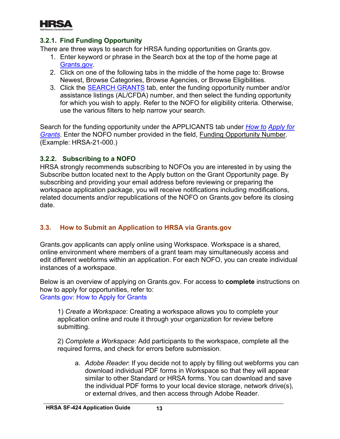

## **3.2.1. Find Funding Opportunity**

There are three ways to search for HRSA funding opportunities on Grants.gov.

- 1. Enter keyword or phrase in the Search box at the top of the home page at [Grants.gov.](http://www.grants.gov/)
- 2. Click on one of the following tabs in the middle of the home page to: Browse Newest, Browse Categories, Browse Agencies, or Browse Eligibilities.
- 3. Click the **SEARCH GRANTS** tab, enter the funding opportunity number and/or assistance listings (AL/CFDA) number, and then select the funding opportunity for which you wish to apply. Refer to the NOFO for eligibility criteria. Otherwise, use the various filters to help narrow your search.

Search for the funding opportunity under the APPLICANTS tab under *[How to](https://www.grants.gov/web/grants/applicants/apply-for-grants.html) [Apply for](http://www.grants.gov/web/grants/applicants/apply-for-grants.html)  [Grants](http://www.grants.gov/web/grants/applicants/apply-for-grants.html)*. Enter the NOFO number provided in the field, Funding Opportunity Number. (Example: HRSA-21-000.)

## **3.2.2. Subscribing to a NOFO**

HRSA strongly recommends subscribing to NOFOs you are interested in by using the Subscribe button located next to the Apply button on the Grant Opportunity page. By subscribing and providing your email address before reviewing or preparing the workspace application package, you will receive notifications including modifications, related documents and/or republications of the NOFO on Grants.gov before its closing date.

## <span id="page-14-0"></span>**3.3. How to Submit an Application to HRSA via Grants.gov**

Grants.gov applicants can apply online using Workspace. Workspace is a shared, online environment where members of a grant team may simultaneously access and edit different webforms within an application. For each NOFO, you can create individual instances of a workspace.

Below is an overview of applying on Grants.gov. For access to **complete** instructions on how to apply for opportunities, refer to: [Grants.gov: How to Apply for Grants](https://www.grants.gov/web/grants/applicants/apply-for-grants.html)

1) *Create a Workspace*: Creating a workspace allows you to complete your application online and route it through your organization for review before submitting.

2) *Complete a Workspace*: Add participants to the workspace, complete all the required forms, and check for errors before submission.

a. *Adobe Reader*: If you decide not to apply by filling out webforms you can download individual PDF forms in Workspace so that they will appear similar to other Standard or HRSA forms. You can download and save the individual PDF forms to your local device storage, network drive(s), or external drives, and then access through Adobe Reader.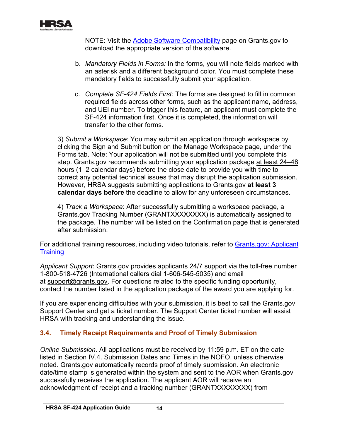

NOTE: Visit the [Adobe Software Compatibility](https://www.grants.gov/web/grants/applicants/adobe-software-compatibility.html) page on Grants.gov to download the appropriate version of the software.

- b. *Mandatory Fields in Forms:* In the forms, you will note fields marked with an asterisk and a different background color. You must complete these mandatory fields to successfully submit your application.
- c. *Complete SF-424 Fields First:* The forms are designed to fill in common required fields across other forms, such as the applicant name, address, and UEI number. To trigger this feature, an applicant must complete the SF-424 information first. Once it is completed, the information will transfer to the other forms.

3) *Submit a Workspace*: You may submit an application through workspace by clicking the Sign and Submit button on the Manage Workspace page, under the Forms tab. Note: Your application will not be submitted until you complete this step. Grants.gov recommends submitting your application package at least 24–48 hours (1–2 calendar days) before the close date to provide you with time to correct any potential technical issues that may disrupt the application submission. However, HRSA suggests submitting applications to Grants.gov **at least 3 calendar days before** the deadline to allow for any unforeseen circumstances.

4) *Track a Workspace*: After successfully submitting a workspace package, a Grants.gov Tracking Number (GRANTXXXXXXXX) is automatically assigned to the package. The number will be listed on the Confirmation page that is generated after submission.

. [Training](https://www.grants.gov/web/grants/applicants/applicant-training.html) For additional training resources, including video tutorials, refer to [Grants.gov: Applicant](https://www.grants.gov/web/grants/applicants/applicant-training.html) 

*Applicant Support*: Grants.gov provides applicants 24/7 support via the toll-free number 1-800-518-4726 (International callers dial 1-606-545-5035) and email at [support@grants.gov.](mailto:support@grants.gov) For questions related to the specific funding opportunity, contact the number listed in the application package of the award you are applying for.

If you are experiencing difficulties with your submission, it is best to call the Grants.gov Support Center and get a ticket number. The Support Center ticket number will assist HRSA with tracking and understanding the issue.

## <span id="page-15-0"></span>**3.4. Timely Receipt Requirements and Proof of Timely Submission**

*Online Submission.* All applications must be received by 11:59 p.m. ET on the date listed in Section IV.4. Submission Dates and Times in the NOFO, unless otherwise noted. Grants.gov automatically records proof of timely submission. An electronic date/time stamp is generated within the system and sent to the AOR when Grants.gov successfully receives the application. The applicant AOR will receive an acknowledgment of receipt and a tracking number (GRANTXXXXXXXX) from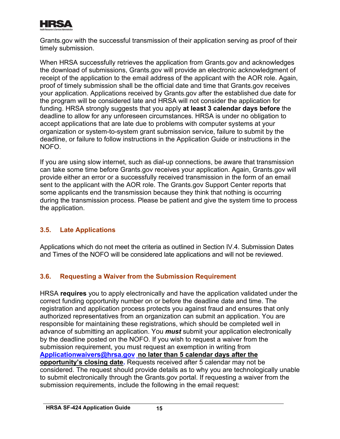

Grants.gov with the successful transmission of their application serving as proof of their timely submission.

When HRSA successfully retrieves the application from Grants.gov and acknowledges the download of submissions, Grants.gov will provide an electronic acknowledgment of receipt of the application to the email address of the applicant with the AOR role. Again, proof of timely submission shall be the official date and time that Grants.gov receives your application. Applications received by Grants.gov after the established due date for the program will be considered late and HRSA will not consider the application for funding. HRSA strongly suggests that you apply **at least 3 calendar days before** the deadline to allow for any unforeseen circumstances. HRSA is under no obligation to accept applications that are late due to problems with computer systems at your organization or system-to-system grant submission service, failure to submit by the deadline, or failure to follow instructions in the Application Guide or instructions in the NOFO.

If you are using slow internet, such as dial-up connections, be aware that transmission can take some time before Grants.gov receives your application. Again, Grants.gov will provide either an error or a successfully received transmission in the form of an email sent to the applicant with the AOR role. The Grants.gov Support Center reports that some applicants end the transmission because they think that nothing is occurring during the transmission process. Please be patient and give the system time to process the application.

## <span id="page-16-0"></span>**3.5. Late Applications**

Applications which do not meet the criteria as outlined in Section IV.4. Submission Dates and Times of the NOFO will be considered late applications and will not be reviewed.

## <span id="page-16-1"></span>**3.6. Requesting a Waiver from the Submission Requirement**

HRSA **requires** you to apply electronically and have the application validated under the correct funding opportunity number on or before the deadline date and time. The registration and application process protects you against fraud and ensures that only authorized representatives from an organization can submit an application. You are responsible for maintaining these registrations, which should be completed well in advance of submitting an application. You *must* submit your application electronically by the deadline posted on the NOFO. If you wish to request a waiver from the submission requirement, you must request an exemption in writing from **[Applicationwaivers@hrsa.gov](mailto:Applicationwaivers@hrsa.gov) no later than 5 calendar days after the opportunity's closing date.** Requests received after 5 calendar may not be considered. The request should provide details as to why you are technologically unable to submit electronically through the Grants.gov portal. If requesting a waiver from the submission requirements, include the following in the email request: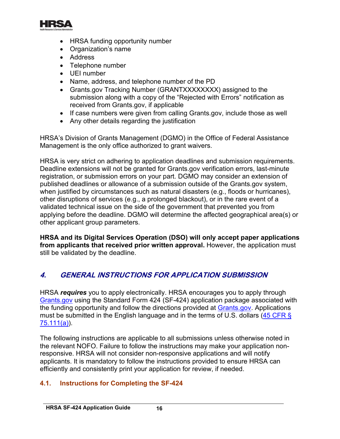

- HRSA funding opportunity number
- Organization's name
- Address
- Telephone number
- UEI number
- Name, address, and telephone number of the PD
- Grants.gov Tracking Number (GRANTXXXXXXXX) assigned to the submission along with a copy of the "Rejected with Errors" notification as received from Grants.gov, if applicable
- If case numbers were given from calling Grants.gov, include those as well
- Any other details regarding the justification

HRSA's Division of Grants Management (DGMO) in the Office of Federal Assistance Management is the only office authorized to grant waivers.

HRSA is very strict on adhering to application deadlines and submission requirements. Deadline extensions will not be granted for Grants.gov verification errors, last-minute registration, or submission errors on your part. DGMO may consider an extension of published deadlines or allowance of a submission outside of the Grants.gov system, when justified by circumstances such as natural disasters (e.g., floods or hurricanes), other disruptions of services (e.g., a prolonged blackout), or in the rare event of a validated technical issue on the side of the government that prevented you from applying before the deadline. DGMO will determine the affected geographical area(s) or other applicant group parameters.

**HRSA and its Digital Services Operation (DSO) will only accept paper applications from applicants that received prior written approval.** However, the application must still be validated by the deadline.

# <span id="page-17-0"></span>**4. GENERAL INSTRUCTIONS FOR APPLICATION SUBMISSION**

<span id="page-17-2"></span>HRSA *requires* you to apply electronically. HRSA encourages you to apply through [Grants.gov](https://www.grants.gov/) using the Standard Form 424 (SF-424) application package associated with the funding opportunity and follow the directions provided at [Grants.gov.](http://grants.nih.gov/grants/guide/url_redirect.htm?id=11127) Applications must be submitted in the English language and in the terms of U.S. dollars (45 CFR §  $75.111(a)$ 

The following instructions are applicable to all submissions unless otherwise noted in the relevant NOFO. Failure to follow the instructions may make your application nonresponsive. HRSA will not consider non-responsive applications and will notify applicants. It is mandatory to follow the instructions provided to ensure HRSA can efficiently and consistently print your application for review, if needed.

## <span id="page-17-1"></span>**4.1. Instructions for Completing the SF-424**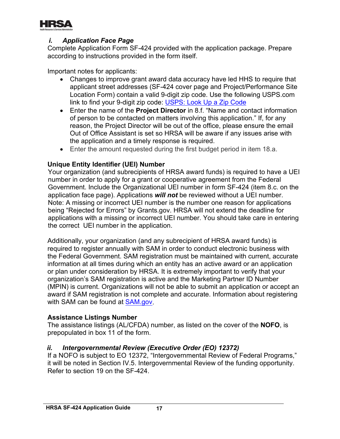

## *i. Application Face Page*

Complete Application Form SF-424 provided with the application package. Prepare according to instructions provided in the form itself.

Important notes for applicants:

- Changes to improve grant award data accuracy have led HHS to require that applicant street addresses (SF-424 cover page and Project/Performance Site Location Form) contain a valid 9-digit zip code. Use the following USPS.com link to find your 9-digit zip code: [USPS: Look Up a Zip Code](https://tools.usps.com/go/ZipLookupAction!input.action?mode=1&refresh=true)
- Enter the name of the **Project Director** in 8.f. "Name and contact information of person to be contacted on matters involving this application." If, for any reason, the Project Director will be out of the office, please ensure the email Out of Office Assistant is set so HRSA will be aware if any issues arise with the application and a timely response is required.
- Enter the amount requested during the first budget period in item 18.a.

#### **Unique Entity Identifier (UEI) Number**

Your organization (and subrecipients of HRSA award funds) is required to have a UEI number in order to apply for a grant or cooperative agreement from the Federal Government. Include the Organizational UEI number in form SF-424 (item 8.c. on the application face page). Applications *will not* be reviewed without a UEI number. Note: A missing or incorrect UEI number is the number one reason for applications being "Rejected for Errors" by Grants.gov. HRSA will not extend the deadline for applications with a missing or incorrect UEI number. You should take care in entering the correct UEI number in the application.

with SAM can be found at <u>SAM.gov</u>. Additionally, your organization (and any subrecipient of HRSA award funds) is required to register annually with SAM in order to conduct electronic business with the Federal Government. SAM registration must be maintained with current, accurate information at all times during which an entity has an active award or an application or plan under consideration by HRSA. It is extremely important to verify that your organization's SAM registration is active and the Marketing Partner ID Number (MPIN) is current. Organizations will not be able to submit an application or accept an award if SAM registration is not complete and accurate. Information about registering

#### **Assistance Listings Number**

The assistance listings (AL/CFDA) number, as listed on the cover of the **NOFO**, is prepopulated in box 11 of the form.

## *ii. Intergovernmental Review (Executive Order (EO) 12372)*

If a NOFO is subject to EO 12372, "Intergovernmental Review of Federal Programs," it will be noted in Section IV.5. Intergovernmental Review of the funding opportunity. Refer to section 19 on the SF-424.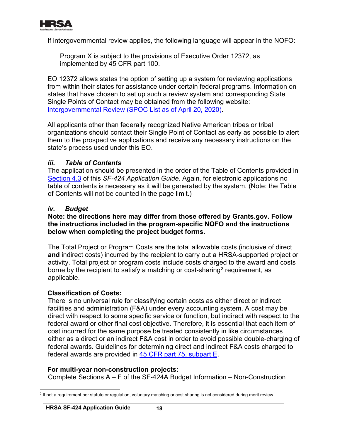

If intergovernmental review applies, the following language will appear in the NOFO:

Program X is subject to the provisions of Executive Order 12372, as implemented by 45 CFR part 100.

. [Intergovernmental Review \(SPOC List as of April 20, 2020\)](https://www.whitehouse.gov/wp-content/uploads/2020/04/SPOC-4-13-20.pdf) EO 12372 allows states the option of setting up a system for reviewing applications from within their states for assistance under certain federal programs. Information on states that have chosen to set up such a review system and corresponding State Single Points of Contact may be obtained from the following website:

All applicants other than federally recognized Native American tribes or tribal organizations should contact their Single Point of Contact as early as possible to alert them to the prospective applications and receive any necessary instructions on the state's process used under this EO.

#### *iii. Table of Contents*

The application should be presented in the order of the Table of Contents provided in [Section 4.3](#page-38-1) of this *SF-424 Application Guide*. Again, for electronic applications no table of contents is necessary as it will be generated by the system. (Note: the Table of Contents will not be counted in the page limit.)

#### *iv. Budget*

#### **Note: the directions here may differ from those offered by Grants.gov. Follow the instructions included in the program-specific NOFO and the instructions below when completing the project budget forms.**

The Total Project or Program Costs are the total allowable costs (inclusive of direct **and** indirect costs) incurred by the recipient to carry out a HRSA-supported project or activity. Total project or program costs include costs charged to the award and costs borne by the recipient to satisfy a matching or cost-sharing<sup>[2](#page-19-0)</sup> requirement, as applicable.

#### **Classification of Costs:**

federal awards are provided in <u>45 CFR part 75, subpart E</u>. There is no universal rule for classifying certain costs as either direct or indirect facilities and administration (F&A) under every accounting system. A cost may be direct with respect to some specific service or function, but indirect with respect to the federal award or other final cost objective. Therefore, it is essential that each item of cost incurred for the same purpose be treated consistently in like circumstances either as a direct or an indirect F&A cost in order to avoid possible double-charging of federal awards. Guidelines for determining direct and indirect F&A costs charged to

#### **For multi-year non-construction projects:**

Complete Sections A – F of the SF-424A Budget Information – Non-Construction

<span id="page-19-0"></span><sup>&</sup>lt;sup>2</sup> If not a requirement per statute or requlation, voluntary matching or cost sharing is not considered during merit review.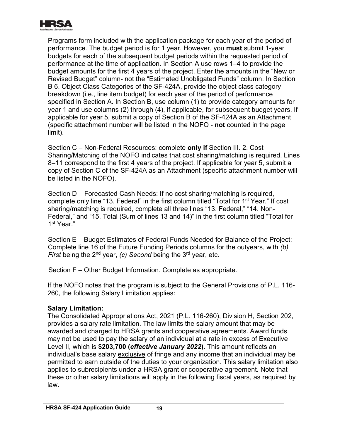

Programs form included with the application package for each year of the period of performance. The budget period is for 1 year. However, you **must** submit 1-year budgets for each of the subsequent budget periods within the requested period of performance at the time of application. In Section A use rows 1–4 to provide the budget amounts for the first 4 years of the project. Enter the amounts in the "New or Revised Budget" column- not the "Estimated Unobligated Funds" column. In Section B 6. Object Class Categories of the SF-424A, provide the object class category breakdown (i.e., line item budget) for each year of the period of performance specified in Section A. In Section B, use column (1) to provide category amounts for year 1 and use columns (2) through (4), if applicable, for subsequent budget years. If applicable for year 5, submit a copy of Section B of the SF-424A as an Attachment (specific attachment number will be listed in the NOFO - **not** counted in the page limit).

Section C – Non-Federal Resources: complete **only if** Section III. 2. Cost Sharing/Matching of the NOFO indicates that cost sharing/matching is required. Lines 8–11 correspond to the first 4 years of the project. If applicable for year 5, submit a copy of Section C of the SF-424A as an Attachment (specific attachment number will be listed in the NOFO).

Section D – Forecasted Cash Needs: If no cost sharing/matching is required, complete only line "13. Federal" in the first column titled "Total for 1st Year." If cost sharing/matching is required, complete all three lines "13. Federal," "14. Non-Federal," and "15. Total (Sum of lines 13 and 14)" in the first column titled "Total for 1st Year."

Section E – Budget Estimates of Federal Funds Needed for Balance of the Project: Complete line 16 of the Future Funding Periods columns for the outyears, with *(b) First* being the 2<sup>nd</sup> year, *(c)* Second being the 3<sup>rd</sup> year, etc.

Section F – Other Budget Information. Complete as appropriate.

If the NOFO notes that the program is subject to the General Provisions of P.L. 116- 260, the following Salary Limitation applies:

## **Salary Limitation:**

The Consolidated Appropriations Act, 2021 (P.L. 116-260), Division H, Section 202, provides a salary rate limitation. The law limits the salary amount that may be awarded and charged to HRSA grants and cooperative agreements. Award funds may not be used to pay the salary of an individual at a rate in excess of Executive Level II, which is **\$203,700 (***effective January 2022***).** This amount reflects an individual's base salary exclusive of fringe and any income that an individual may be permitted to earn outside of the duties to your organization. This salary limitation also applies to subrecipients under a HRSA grant or cooperative agreement. Note that these or other salary limitations will apply in the following fiscal years, as required by law.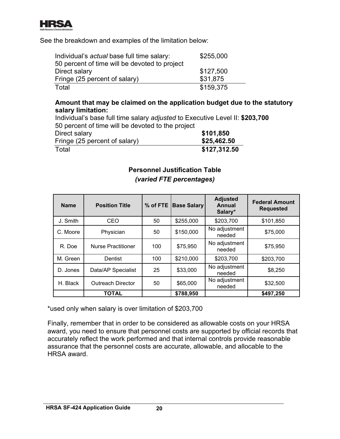

See the breakdown and examples of the limitation below:

| Individual's actual base full time salary:    | \$255,000 |
|-----------------------------------------------|-----------|
| 50 percent of time will be devoted to project |           |
| Direct salary                                 | \$127,500 |
| Fringe (25 percent of salary)                 | \$31,875  |
| Total                                         | \$159,375 |

## **Amount that may be claimed on the application budget due to the statutory salary limitation:**

Individual's base full time salary *adjusted* to Executive Level II: **\$203,700** 50 percent of time will be devoted to the project

| Direct salary                 | \$101,850    |
|-------------------------------|--------------|
| Fringe (25 percent of salary) | \$25,462.50  |
| Total                         | \$127,312.50 |

## **Personnel Justification Table** *(varied FTE percentages)*

<span id="page-21-0"></span>

| <b>Name</b> | <b>Position Title</b>     | $%$ of FTE $ $ | <b>Base Salary</b> | <b>Adjusted</b><br>Annual<br>Salary* | <b>Federal Amount</b><br><b>Requested</b> |
|-------------|---------------------------|----------------|--------------------|--------------------------------------|-------------------------------------------|
| J. Smith    | CEO                       | 50             | \$255,000          | \$203,700                            | \$101,850                                 |
| C. Moore    | Physician                 | 50             | \$150,000          | No adjustment<br>needed              | \$75,000                                  |
| R. Doe      | <b>Nurse Practitioner</b> | 100            | \$75,950           | No adjustment<br>needed              | \$75,950                                  |
| M. Green    | Dentist                   | 100            | \$210,000          | \$203,700                            | \$203,700                                 |
| D. Jones    | Data/AP Specialist        | 25             | \$33,000           | No adjustment<br>needed              | \$8,250                                   |
| H. Black    | <b>Outreach Director</b>  | 50             | \$65,000           | No adjustment<br>needed              | \$32,500                                  |
|             | TOTAL                     |                | \$788,950          |                                      | \$497,250                                 |

\*used only when salary is over limitation of \$203,700

Finally, remember that in order to be considered as allowable costs on your HRSA award, you need to ensure that personnel costs are supported by official records that accurately reflect the work performed and that internal controls provide reasonable assurance that the personnel costs are accurate, allowable, and allocable to the HRSA award.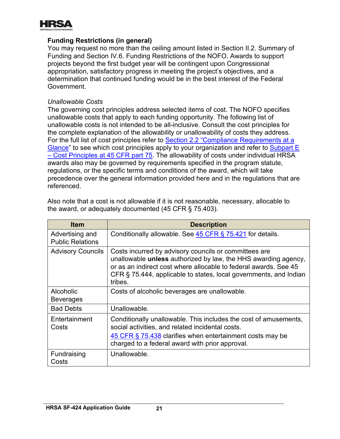

#### **Funding Restrictions (in general)**

You may request no more than the ceiling amount listed in Section II.2. Summary of Funding and Section IV.6. Funding Restrictions of the NOFO. Awards to support projects beyond the first budget year will be contingent upon Congressional appropriation, satisfactory progress in meeting the project's objectives, and a determination that continued funding would be in the best interest of the Federal Government.

#### *Unallowable Costs*

The governing cost principles address selected items of cost. The NOFO specifies unallowable costs that apply to each funding opportunity. The following list of unallowable costs is not intended to be all-inclusive. Consult the cost principles for the complete explanation of the allowability or unallowability of costs they address. For the full list of cost principles refer to Section 2.2 ["Compliance Requirements at a](#page-8-0)  [Glance"](#page-8-0) to see which cost principles apply to your organization and refer to Subpart E [– Cost Principles at 45 CFR part 75.](https://www.ecfr.gov/cgi-bin/retrieveECFR?gp=1&SID=4d52364ec83fab994c665943dadf9cf7&ty=HTML&h=L&r=PART&n=pt45.1.75) The allowability of costs under individual HRSA awards also may be governed by requirements specified in the program statute, regulations, or the specific terms and conditions of the award, which will take precedence over the general information provided here and in the regulations that are referenced.

| <b>Item</b>                                | <b>Description</b>                                                                                                                                                                                                                                                                 |
|--------------------------------------------|------------------------------------------------------------------------------------------------------------------------------------------------------------------------------------------------------------------------------------------------------------------------------------|
| Advertising and<br><b>Public Relations</b> | Conditionally allowable. See 45 CFR § 75.421 for details.                                                                                                                                                                                                                          |
| <b>Advisory Councils</b>                   | Costs incurred by advisory councils or committees are<br>unallowable <b>unless</b> authorized by law, the HHS awarding agency,<br>or as an indirect cost where allocable to federal awards. See 45<br>CFR § 75.444, applicable to states, local governments, and Indian<br>tribes. |
| Alcoholic<br><b>Beverages</b>              | Costs of alcoholic beverages are unallowable.                                                                                                                                                                                                                                      |
| <b>Bad Debts</b>                           | Unallowable.                                                                                                                                                                                                                                                                       |
| Entertainment<br>Costs                     | Conditionally unallowable. This includes the cost of amusements,<br>social activities, and related incidental costs.<br>45 CFR § 75.438 clarifies when entertainment costs may be<br>charged to a federal award with prior approval.                                               |
| Fundraising<br>Costs                       | Unallowable.                                                                                                                                                                                                                                                                       |

Also note that a cost is not allowable if it is not reasonable, necessary, allocable to the award, or adequately documented (45 CFR § 75.403).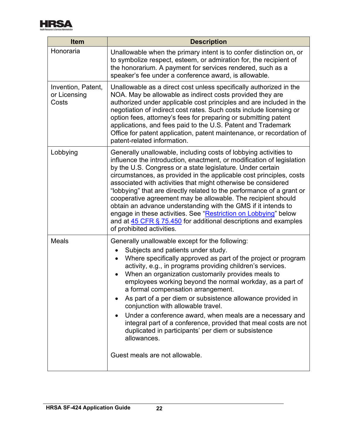

| <b>Item</b>                                 | <b>Description</b>                                                                                                                                                                                                                                                                                                                                                                                                                                                                                                                                                                                                                                                                                                           |  |  |  |
|---------------------------------------------|------------------------------------------------------------------------------------------------------------------------------------------------------------------------------------------------------------------------------------------------------------------------------------------------------------------------------------------------------------------------------------------------------------------------------------------------------------------------------------------------------------------------------------------------------------------------------------------------------------------------------------------------------------------------------------------------------------------------------|--|--|--|
| Honoraria                                   | Unallowable when the primary intent is to confer distinction on, or<br>to symbolize respect, esteem, or admiration for, the recipient of<br>the honorarium. A payment for services rendered, such as a<br>speaker's fee under a conference award, is allowable.                                                                                                                                                                                                                                                                                                                                                                                                                                                              |  |  |  |
| Invention, Patent,<br>or Licensing<br>Costs | Unallowable as a direct cost unless specifically authorized in the<br>NOA. May be allowable as indirect costs provided they are<br>authorized under applicable cost principles and are included in the<br>negotiation of indirect cost rates. Such costs include licensing or<br>option fees, attorney's fees for preparing or submitting patent<br>applications, and fees paid to the U.S. Patent and Trademark<br>Office for patent application, patent maintenance, or recordation of<br>patent-related information.                                                                                                                                                                                                      |  |  |  |
| Lobbying                                    | Generally unallowable, including costs of lobbying activities to<br>influence the introduction, enactment, or modification of legislation<br>by the U.S. Congress or a state legislature. Under certain<br>circumstances, as provided in the applicable cost principles, costs<br>associated with activities that might otherwise be considered<br>"lobbying" that are directly related to the performance of a grant or<br>cooperative agreement may be allowable. The recipient should<br>obtain an advance understanding with the GMS if it intends to<br>engage in these activities. See "Restriction on Lobbying" below<br>and at 45 CFR § 75.450 for additional descriptions and examples<br>of prohibited activities. |  |  |  |
| Meals                                       | Generally unallowable except for the following:<br>Subjects and patients under study.<br>Where specifically approved as part of the project or program<br>activity, e.g., in programs providing children's services.<br>When an organization customarily provides meals to<br>employees working beyond the normal workday, as a part of<br>a formal compensation arrangement.<br>As part of a per diem or subsistence allowance provided in<br>conjunction with allowable travel.<br>Under a conference award, when meals are a necessary and<br>integral part of a conference, provided that meal costs are not<br>duplicated in participants' per diem or subsistence<br>allowances.<br>Guest meals are not allowable.     |  |  |  |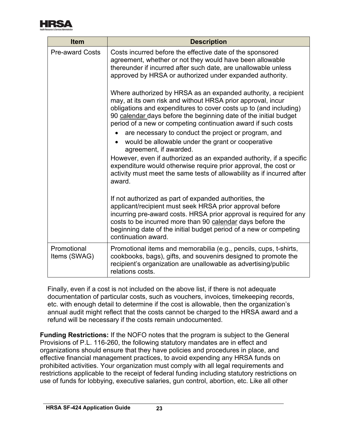

| <b>Item</b>                 | <b>Description</b>                                                                                                                                                                                                                                                                                                                                 |  |  |
|-----------------------------|----------------------------------------------------------------------------------------------------------------------------------------------------------------------------------------------------------------------------------------------------------------------------------------------------------------------------------------------------|--|--|
| <b>Pre-award Costs</b>      | Costs incurred before the effective date of the sponsored<br>agreement, whether or not they would have been allowable<br>thereunder if incurred after such date, are unallowable unless<br>approved by HRSA or authorized under expanded authority.                                                                                                |  |  |
|                             | Where authorized by HRSA as an expanded authority, a recipient<br>may, at its own risk and without HRSA prior approval, incur<br>obligations and expenditures to cover costs up to (and including)<br>90 calendar days before the beginning date of the initial budget<br>period of a new or competing continuation award if such costs            |  |  |
|                             | are necessary to conduct the project or program, and<br>would be allowable under the grant or cooperative<br>agreement, if awarded.                                                                                                                                                                                                                |  |  |
|                             | However, even if authorized as an expanded authority, if a specific<br>expenditure would otherwise require prior approval, the cost or<br>activity must meet the same tests of allowability as if incurred after<br>award.                                                                                                                         |  |  |
|                             | If not authorized as part of expanded authorities, the<br>applicant/recipient must seek HRSA prior approval before<br>incurring pre-award costs. HRSA prior approval is required for any<br>costs to be incurred more than 90 calendar days before the<br>beginning date of the initial budget period of a new or competing<br>continuation award. |  |  |
| Promotional<br>Items (SWAG) | Promotional items and memorabilia (e.g., pencils, cups, t-shirts,<br>cookbooks, bags), gifts, and souvenirs designed to promote the<br>recipient's organization are unallowable as advertising/public<br>relations costs.                                                                                                                          |  |  |

Finally, even if a cost is not included on the above list, if there is not adequate documentation of particular costs, such as vouchers, invoices, timekeeping records, etc. with enough detail to determine if the cost is allowable, then the organization's annual audit might reflect that the costs cannot be charged to the HRSA award and a refund will be necessary if the costs remain undocumented.

<span id="page-24-0"></span>**Funding Restrictions:** If the NOFO notes that the program is subject to the General Provisions of P.L. 116-260, the following statutory mandates are in effect and organizations should ensure that they have policies and procedures in place, and effective financial management practices, to avoid expending any HRSA funds on prohibited activities. Your organization must comply with all legal requirements and restrictions applicable to the receipt of federal funding including statutory restrictions on use of funds for lobbying, executive salaries, gun control, abortion, etc. Like all other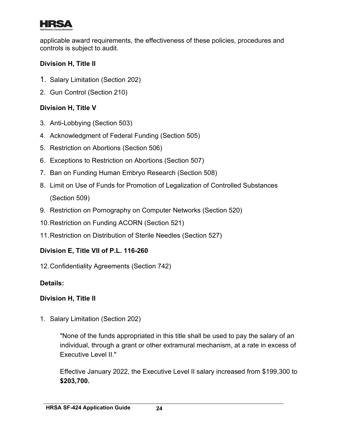

applicable award requirements, the effectiveness of these policies, procedures and controls is subject to audit.

## **Division H, Title II**

- 1. Salary Limitation (Section 202)
- 2. Gun Control (Section 210)

## **Division H, Title V**

- 3. Anti-Lobbying (Section 503)
- 4. Acknowledgment of Federal Funding (Section 505)
- 5. Restriction on Abortions (Section 506)
- 6. Exceptions to Restriction on Abortions (Section 507)
- 7. Ban on Funding Human Embryo Research (Section 508)
- 8. Limit on Use of Funds for Promotion of Legalization of Controlled Substances (Section 509)
- 9. Restriction on Pornography on Computer Networks (Section 520)
- 10.Restriction on Funding ACORN (Section 521)
- 11.Restriction on Distribution of Sterile Needles (Section 527)

# **Division E, Title VII of P.L. 116-260**

12.Confidentiality Agreements (Section 742)

## **Details:**

## **Division H, Title II**

1. Salary Limitation (Section 202)

"None of the funds appropriated in this title shall be used to pay the salary of an individual, through a grant or other extramural mechanism, at a rate in excess of Executive Level II."

Effective January 2022, the Executive Level II salary increased from \$199,300 to **\$203,700.**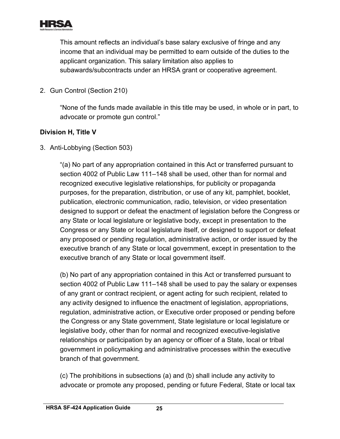

This amount reflects an individual's base salary exclusive of fringe and any income that an individual may be permitted to earn outside of the duties to the applicant organization. This salary limitation also applies to subawards/subcontracts under an HRSA grant or cooperative agreement.

2. Gun Control (Section 210)

"None of the funds made available in this title may be used, in whole or in part, to advocate or promote gun control."

## **Division H, Title V**

3. Anti-Lobbying (Section 503)

"(a) No part of any appropriation contained in this Act or transferred pursuant to section 4002 of Public Law 111–148 shall be used, other than for normal and recognized executive legislative relationships, for publicity or propaganda purposes, for the preparation, distribution, or use of any kit, pamphlet, booklet, publication, electronic communication, radio, television, or video presentation designed to support or defeat the enactment of legislation before the Congress or any State or local legislature or legislative body, except in presentation to the Congress or any State or local legislature itself, or designed to support or defeat any proposed or pending regulation, administrative action, or order issued by the executive branch of any State or local government, except in presentation to the executive branch of any State or local government itself.

(b) No part of any appropriation contained in this Act or transferred pursuant to section 4002 of Public Law 111–148 shall be used to pay the salary or expenses of any grant or contract recipient, or agent acting for such recipient, related to any activity designed to influence the enactment of legislation, appropriations, regulation, administrative action, or Executive order proposed or pending before the Congress or any State government, State legislature or local legislature or legislative body, other than for normal and recognized executive-legislative relationships or participation by an agency or officer of a State, local or tribal government in policymaking and administrative processes within the executive branch of that government.

(c) The prohibitions in subsections (a) and (b) shall include any activity to advocate or promote any proposed, pending or future Federal, State or local tax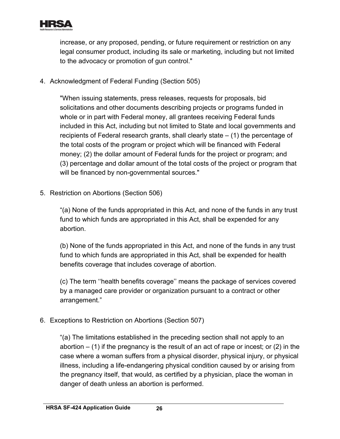

increase, or any proposed, pending, or future requirement or restriction on any legal consumer product, including its sale or marketing, including but not limited to the advocacy or promotion of gun control."

4. Acknowledgment of Federal Funding (Section 505)

"When issuing statements, press releases, requests for proposals, bid solicitations and other documents describing projects or programs funded in whole or in part with Federal money, all grantees receiving Federal funds included in this Act, including but not limited to State and local governments and recipients of Federal research grants, shall clearly state – (1) the percentage of the total costs of the program or project which will be financed with Federal money; (2) the dollar amount of Federal funds for the project or program; and (3) percentage and dollar amount of the total costs of the project or program that will be financed by non-governmental sources."

5. Restriction on Abortions (Section 506)

"(a) None of the funds appropriated in this Act, and none of the funds in any trust fund to which funds are appropriated in this Act, shall be expended for any abortion.

(b) None of the funds appropriated in this Act, and none of the funds in any trust fund to which funds are appropriated in this Act, shall be expended for health benefits coverage that includes coverage of abortion.

(c) The term ''health benefits coverage'' means the package of services covered by a managed care provider or organization pursuant to a contract or other arrangement."

6. Exceptions to Restriction on Abortions (Section 507)

"(a) The limitations established in the preceding section shall not apply to an abortion  $-$  (1) if the pregnancy is the result of an act of rape or incest; or (2) in the case where a woman suffers from a physical disorder, physical injury, or physical illness, including a life-endangering physical condition caused by or arising from the pregnancy itself, that would, as certified by a physician, place the woman in danger of death unless an abortion is performed.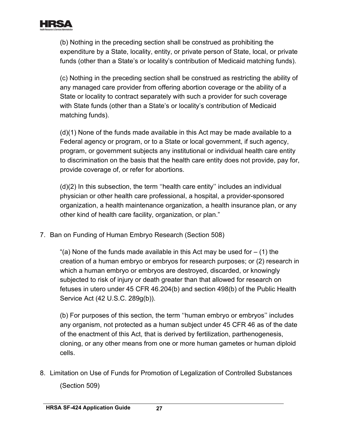

(b) Nothing in the preceding section shall be construed as prohibiting the expenditure by a State, locality, entity, or private person of State, local, or private funds (other than a State's or locality's contribution of Medicaid matching funds).

(c) Nothing in the preceding section shall be construed as restricting the ability of any managed care provider from offering abortion coverage or the ability of a State or locality to contract separately with such a provider for such coverage with State funds (other than a State's or locality's contribution of Medicaid matching funds).

(d)(1) None of the funds made available in this Act may be made available to a Federal agency or program, or to a State or local government, if such agency, program, or government subjects any institutional or individual health care entity to discrimination on the basis that the health care entity does not provide, pay for, provide coverage of, or refer for abortions.

(d)(2) In this subsection, the term ''health care entity'' includes an individual physician or other health care professional, a hospital, a provider-sponsored organization, a health maintenance organization, a health insurance plan, or any other kind of health care facility, organization, or plan."

7. Ban on Funding of Human Embryo Research (Section 508)

"(a) None of the funds made available in this Act may be used for  $-$  (1) the creation of a human embryo or embryos for research purposes; or (2) research in which a human embryo or embryos are destroyed, discarded, or knowingly subjected to risk of injury or death greater than that allowed for research on fetuses in utero under 45 CFR 46.204(b) and section 498(b) of the Public Health Service Act (42 U.S.C. 289g(b)).

(b) For purposes of this section, the term ''human embryo or embryos'' includes any organism, not protected as a human subject under 45 CFR 46 as of the date of the enactment of this Act, that is derived by fertilization, parthenogenesis, cloning, or any other means from one or more human gametes or human diploid cells.

8. Limitation on Use of Funds for Promotion of Legalization of Controlled Substances (Section 509)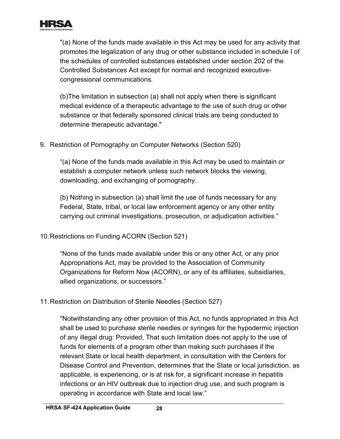

"(a) None of the funds made available in this Act may be used for any activity that promotes the legalization of any drug or other substance included in schedule I of the schedules of controlled substances established under section 202 of the Controlled Substances Act except for normal and recognized executivecongressional communications.

(b)The limitation in subsection (a) shall not apply when there is significant medical evidence of a therapeutic advantage to the use of such drug or other substance or that federally sponsored clinical trials are being conducted to determine therapeutic advantage."

9. Restriction of Pornography on Computer Networks (Section 520)

"(a) None of the funds made available in this Act may be used to maintain or establish a computer network unless such network blocks the viewing, downloading, and exchanging of pornography.

(b) Nothing in subsection (a) shall limit the use of funds necessary for any Federal, State, tribal, or local law enforcement agency or any other entity carrying out criminal investigations, prosecution, or adjudication activities."

10.Restrictions on Funding ACORN (Section 521)

"None of the funds made available under this or any other Act, or any prior Appropriations Act, may be provided to the Association of Community Organizations for Reform Now (ACORN), or any of its affiliates, subsidiaries, allied organizations, or successors."

11.Restriction on Distribution of Sterile Needles (Section 527)

"Notwithstanding any other provision of this Act, no funds appropriated in this Act shall be used to purchase sterile needles or syringes for the hypodermic injection of any illegal drug: Provided, That such limitation does not apply to the use of funds for elements of a program other than making such purchases if the relevant State or local health department, in consultation with the Centers for Disease Control and Prevention, determines that the State or local jurisdiction, as applicable, is experiencing, or is at risk for, a significant increase in hepatitis infections or an HIV outbreak due to injection drug use, and such program is operating in accordance with State and local law."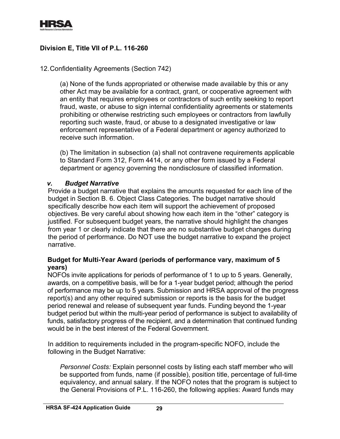

## **Division E, Title VII of P.L. 116-260**

#### <span id="page-30-0"></span>12.Confidentiality Agreements (Section 742)

(a) None of the funds appropriated or otherwise made available by this or any other Act may be available for a contract, grant, or cooperative agreement with an entity that requires employees or contractors of such entity seeking to report fraud, waste, or abuse to sign internal confidentiality agreements or statements prohibiting or otherwise restricting such employees or contractors from lawfully reporting such waste, fraud, or abuse to a designated investigative or law enforcement representative of a Federal department or agency authorized to receive such information.

(b) The limitation in subsection (a) shall not contravene requirements applicable to Standard Form 312, Form 4414, or any other form issued by a Federal department or agency governing the nondisclosure of classified information.

#### *v. Budget Narrative*

Provide a budget narrative that explains the amounts requested for each line of the budget in Section B. 6. Object Class Categories. The budget narrative should specifically describe how each item will support the achievement of proposed objectives. Be very careful about showing how each item in the "other" category is justified. For subsequent budget years, the narrative should highlight the changes from year 1 or clearly indicate that there are no substantive budget changes during the period of performance. Do NOT use the budget narrative to expand the project narrative.

#### **Budget for Multi-Year Award (periods of performance vary, maximum of 5 years)**

NOFOs invite applications for periods of performance of 1 to up to 5 years. Generally, awards, on a competitive basis, will be for a 1-year budget period; although the period of performance may be up to 5 years. Submission and HRSA approval of the progress report(s) and any other required submission or reports is the basis for the budget period renewal and release of subsequent year funds. Funding beyond the 1-year budget period but within the multi-year period of performance is subject to availability of funds, satisfactory progress of the recipient, and a determination that continued funding would be in the best interest of the Federal Government.

In addition to requirements included in the program-specific NOFO, include the following in the Budget Narrative:

*Personnel Costs:* Explain personnel costs by listing each staff member who will be supported from funds, name (if possible), position title, percentage of full-time equivalency, and annual salary. If the NOFO notes that the program is subject to the General Provisions of P.L. 116-260, the following applies: Award funds may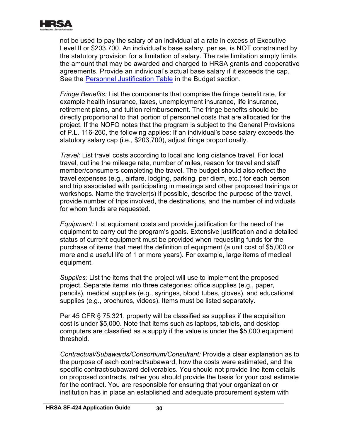

not be used to pay the salary of an individual at a rate in excess of Executive Level II or \$203,700. An individual's base salary, per se, is NOT constrained by the statutory provision for a limitation of salary. The rate limitation simply limits the amount that may be awarded and charged to HRSA grants and cooperative agreements. Provide an individual's actual base salary if it exceeds the cap. See the [Personnel Justification Table](#page-21-0) in the Budget section.

*Fringe Benefits:* List the components that comprise the fringe benefit rate, for example health insurance, taxes, unemployment insurance, life insurance, retirement plans, and tuition reimbursement. The fringe benefits should be directly proportional to that portion of personnel costs that are allocated for the project. If the NOFO notes that the program is subject to the General Provisions of P.L. 116-260, the following applies: If an individual's base salary exceeds the statutory salary cap (i.e., \$203,700), adjust fringe proportionally.

*Travel:* List travel costs according to local and long distance travel. For local travel, outline the mileage rate, number of miles, reason for travel and staff member/consumers completing the travel. The budget should also reflect the travel expenses (e.g., airfare, lodging, parking, per diem, etc.) for each person and trip associated with participating in meetings and other proposed trainings or workshops. Name the traveler(s) if possible, describe the purpose of the travel, provide number of trips involved, the destinations, and the number of individuals for whom funds are requested.

*Equipment:* List equipment costs and provide justification for the need of the equipment to carry out the program's goals. Extensive justification and a detailed status of current equipment must be provided when requesting funds for the purchase of items that meet the definition of equipment (a unit cost of \$5,000 or more and a useful life of 1 or more years). For example, large items of medical equipment.

*Supplies:* List the items that the project will use to implement the proposed project. Separate items into three categories: office supplies (e.g., paper, pencils), medical supplies (e.g., syringes, blood tubes, gloves), and educational supplies (e.g., brochures, videos). Items must be listed separately.

Per 45 CFR § 75.321, property will be classified as supplies if the acquisition cost is under \$5,000. Note that items such as laptops, tablets, and desktop computers are classified as a supply if the value is under the \$5,000 equipment threshold.

*Contractual/Subawards/Consortium/Consultant:* Provide a clear explanation as to the purpose of each contract/subaward, how the costs were estimated, and the specific contract/subaward deliverables. You should not provide line item details on proposed contracts, rather you should provide the basis for your cost estimate for the contract. You are responsible for ensuring that your organization or institution has in place an established and adequate procurement system with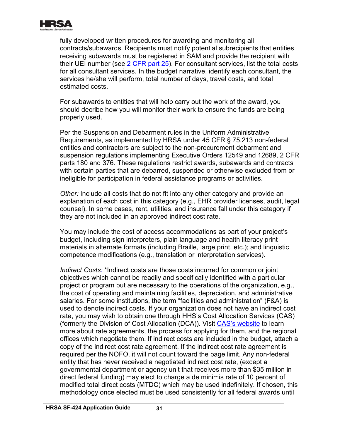

fully developed written procedures for awarding and monitoring all contracts/subawards. Recipients must notify potential subrecipients that entities receiving subawards must be registered in SAM and provide the recipient with their UEI number (see [2 CFR part 25\)](https://www.ecfr.gov/cgi-bin/text-idx?SID=3185b80603454d8e67461ea19aa8a59b&mc=true&node=pt2.1.25&rgn=div5). For consultant services, list the total costs for all consultant services. In the budget narrative, identify each consultant, the services he/she will perform, total number of days, travel costs, and total estimated costs.

For subawards to entities that will help carry out the work of the award, you should decribe how you will monitor their work to ensure the funds are being properly used.

Per the Suspension and Debarment rules in the Uniform Administrative Requirements, as implemented by HRSA under 45 CFR § 75.213 non-federal entities and contractors are subject to the non-procurement debarment and suspension regulations implementing Executive Orders 12549 and 12689, 2 CFR parts 180 and 376. These regulations restrict awards, subawards and contracts with certain parties that are debarred, suspended or otherwise excluded from or ineligible for participation in federal assistance programs or activities.

*Other:* Include all costs that do not fit into any other category and provide an explanation of each cost in this category (e.g., EHR provider licenses, audit, legal counsel). In some cases, rent, utilities, and insurance fall under this category if they are not included in an approved indirect cost rate.

You may include the cost of access accommodations as part of your project's budget, including sign interpreters, plain language and health literacy print materials in alternate formats (including Braille, large print, etc.); and linguistic competence modifications (e.g., translation or interpretation services).

*Indirect Costs:* \*Indirect costs are those costs incurred for common or joint objectives which cannot be readily and specifically identified with a particular project or program but are necessary to the operations of the organization, e.g., the cost of operating and maintaining facilities, depreciation, and administrative salaries. For some institutions, the term "facilities and administration" (F&A) is used to denote indirect costs. If your organization does not have an indirect cost rate, you may wish to obtain one through HHS's Cost Allocation Services (CAS) (formerly the Division of Cost Allocation (DCA)). Visit [CAS's website](https://rates.psc.gov/) to learn more about rate agreements, the process for applying for them, and the regional offices which negotiate them. If indirect costs are included in the budget, attach a copy of the indirect cost rate agreement. If the indirect cost rate agreement is required per the NOFO, it will not count toward the page limit. Any non-federal entity that has never received a negotiated indirect cost rate, (except a governmental department or agency unit that receives more than \$35 million in direct federal funding) may elect to charge a de minimis rate of 10 percent of modified total direct costs (MTDC) which may be used indefinitely. If chosen, this methodology once elected must be used consistently for all federal awards until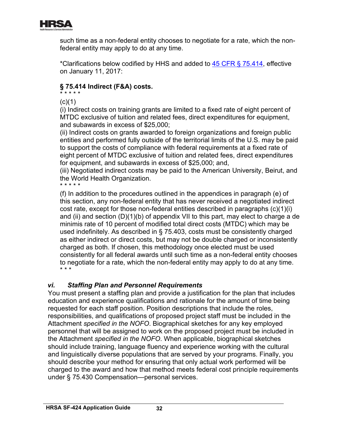

such time as a non-federal entity chooses to negotiate for a rate, which the nonfederal entity may apply to do at any time.

\*Clarifications below codified by HHS and added to [45 CFR § 75.414,](https://www.ecfr.gov/cgi-bin/retrieveECFR?gp=1&SID=4d52364ec83fab994c665943dadf9cf7&ty=HTML&h=L&r=PART&n=pt45.1.75) effective on January 11, 2017:

#### **§ 75.414 Indirect (F&A) costs.** \* \* \* \* \*

 $(c)(1)$ 

(i) Indirect costs on training grants are limited to a fixed rate of eight percent of MTDC exclusive of tuition and related fees, direct expenditures for equipment, and subawards in excess of \$25,000;

(ii) Indirect costs on grants awarded to foreign organizations and foreign public entities and performed fully outside of the territorial limits of the U.S. may be paid to support the costs of compliance with federal requirements at a fixed rate of eight percent of MTDC exclusive of tuition and related fees, direct expenditures for equipment, and subawards in excess of \$25,000; and,

(iii) Negotiated indirect costs may be paid to the American University, Beirut, and the World Health Organization.

\* \* \* \* \*

\* \* \* (f) In addition to the procedures outlined in the appendices in paragraph (e) of this section, any non-federal entity that has never received a negotiated indirect cost rate, except for those non-federal entities described in paragraphs (c)(1)(i) and (ii) and section (D)(1)(b) of appendix VII to this part, may elect to charge a de minimis rate of 10 percent of modified total direct costs (MTDC) which may be used indefinitely. As described in § 75.403, costs must be consistently charged as either indirect or direct costs, but may not be double charged or inconsistently charged as both. If chosen, this methodology once elected must be used consistently for all federal awards until such time as a non-federal entity chooses to negotiate for a rate, which the non-federal entity may apply to do at any time.

## *vi. Staffing Plan and Personnel Requirements*

You must present a staffing plan and provide a justification for the plan that includes education and experience qualifications and rationale for the amount of time being requested for each staff position. Position descriptions that include the roles, responsibilities, and qualifications of proposed project staff must be included in the Attachment *specified in the NOFO*. Biographical sketches for any key employed personnel that will be assigned to work on the proposed project must be included in the Attachment *specified in the NOFO*. When applicable, biographical sketches should include training, language fluency and experience working with the cultural and linguistically diverse populations that are served by your programs. Finally, you should describe your method for ensuring that only actual work performed will be charged to the award and how that method meets federal cost principle requirements under § 75.430 Compensation—personal services.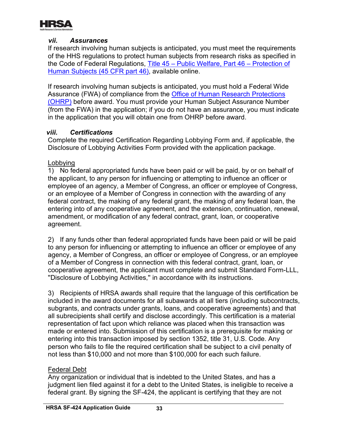

## *vii. Assurances*

If research involving human subjects is anticipated, you must meet the requirements of the HHS regulations to protect human subjects from research risks as specified in the Code of Federal Regulations, [Title 45 – Public Welfare, Part 46 – Protection of](https://www.ecfr.gov/cgi-bin/text-idx?SID=11a69bac3d272c94620c4a804d932ff7&mc=true&node=pt45.1.46&rgn=div5)  [Human Subjects \(45 CFR part 46\),](https://www.ecfr.gov/cgi-bin/text-idx?SID=11a69bac3d272c94620c4a804d932ff7&mc=true&node=pt45.1.46&rgn=div5) available online.

If research involving human subjects is anticipated, you must hold a Federal Wide Assurance (FWA) of compliance from the **Office of Human Research Protections** [\(OHRP\)](https://www.hhs.gov/ohrp/regulations-and-policy/index.html) before award. You must provide your Human Subject Assurance Number (from the FWA) in the application; if you do not have an assurance, you must indicate in the application that you will obtain one from OHRP before award.

#### *viii. Certifications*

Complete the required Certification Regarding Lobbying Form and, if applicable, the Disclosure of Lobbying Activities Form provided with the application package.

#### Lobbying

1) No federal appropriated funds have been paid or will be paid, by or on behalf of the applicant, to any person for influencing or attempting to influence an officer or employee of an agency, a Member of Congress, an officer or employee of Congress, or an employee of a Member of Congress in connection with the awarding of any federal contract, the making of any federal grant, the making of any federal loan, the entering into of any cooperative agreement, and the extension, continuation, renewal, amendment, or modification of any federal contract, grant, loan, or cooperative agreement.

2) If any funds other than federal appropriated funds have been paid or will be paid to any person for influencing or attempting to influence an officer or employee of any agency, a Member of Congress, an officer or employee of Congress, or an employee of a Member of Congress in connection with this federal contract, grant, loan, or cooperative agreement, the applicant must complete and submit Standard Form-LLL, ''Disclosure of Lobbying Activities,'' in accordance with its instructions.

3) Recipients of HRSA awards shall require that the language of this certification be included in the award documents for all subawards at all tiers (including subcontracts, subgrants, and contracts under grants, loans, and cooperative agreements) and that all subrecipients shall certify and disclose accordingly. This certification is a material representation of fact upon which reliance was placed when this transaction was made or entered into. Submission of this certification is a prerequisite for making or entering into this transaction imposed by section 1352, title 31, U.S. Code. Any person who fails to file the required certification shall be subject to a civil penalty of not less than \$10,000 and not more than \$100,000 for each such failure.

## Federal Debt

Any organization or individual that is indebted to the United States, and has a judgment lien filed against it for a debt to the United States, is ineligible to receive a federal grant. By signing the SF-424, the applicant is certifying that they are not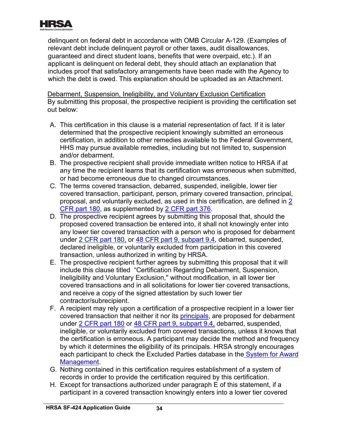

delinquent on federal debt in accordance with OMB Circular A-129. (Examples of relevant debt include delinquent payroll or other taxes, audit disallowances, guaranteed and direct student loans, benefits that were overpaid, etc.). If an applicant is delinquent on federal debt, they should attach an explanation that includes proof that satisfactory arrangements have been made with the Agency to which the debt is owed. This explanation should be uploaded as an Attachment.

Debarment, Suspension, Ineligibility, and Voluntary Exclusion Certification By submitting this proposal, the prospective recipient is providing the certification set out below:

- A. This certification in this clause is a material representation of fact. If it is later determined that the prospective recipient knowingly submitted an erroneous certification, in addition to other remedies available to the Federal Government, HHS may pursue available remedies, including but not limited to, suspension and/or debarment.
- B. The prospective recipient shall provide immediate written notice to HRSA if at any time the recipient learns that its certification was erroneous when submitted, or had become erroneous due to changed circumstances.
- <u>CFR part 180</u>, as supplemented by <u>2 CFR part 376</u>. C. The terms covered transaction, debarred, suspended, ineligible, lower tier covered transaction, participant, person, primary covered transaction, principal, proposal, and voluntarily excluded, as used in this certification, are defined in [2](http://www.ecfr.gov/cgi-bin/text-idx?tpl=/ecfrbrowse/Title02/2cfr180_main_02.tpl)
- D. The prospective recipient agrees by submitting this proposal that, should the proposed covered transaction be entered into, it shall not knowingly enter into any lower tier covered transaction with a person who is proposed for debarment under [2 CFR part 180,](http://www.ecfr.gov/cgi-bin/text-idx?tpl=/ecfrbrowse/Title02/2cfr180_main_02.tpl) or [48 CFR part 9, subpart 9.4,](http://www.ecfr.gov/cgi-bin/text-idx?SID=2068e8951dab76f7b96d51fda6d3325c&mc=true&node=sp48.1.9.9_14&rgn=div6) debarred, suspended, declared ineligible, or voluntarily excluded from participation in this covered transaction, unless authorized in writing by HRSA.
- E. The prospective recipient further agrees by submitting this proposal that it will include this clause titled "Certification Regarding Debarment, Suspension, Ineligibility and Voluntary Exclusion,'' without modification, in all lower tier covered transactions and in all solicitations for lower tier covered transactions, and receive a copy of the signed attestation by such lower tier contractor/subrecipient.
- <u>[Management](https://www.sam.gov/)</u> F. A recipient may rely upon a certification of a prospective recipient in a lower tier covered transaction that neither it nor its [principals,](#page-41-0) are proposed for debarment under [2 CFR part 180](http://www.ecfr.gov/cgi-bin/text-idx?tpl=/ecfrbrowse/Title02/2cfr180_main_02.tpl) or [48 CFR part 9, subpart 9.4,](http://www.ecfr.gov/cgi-bin/text-idx?SID=2068e8951dab76f7b96d51fda6d3325c&mc=true&node=sp48.1.9.9_14&rgn=div6) debarred, suspended, ineligible, or voluntarily excluded from covered transactions, unless it knows that the certification is erroneous. A participant may decide the method and frequency by which it determines the eligibility of its principals. HRSA strongly encourages each participant to check the Excluded Parties database in the [System for Award](https://www.sam.gov/)
- G. Nothing contained in this certification requires establishment of a system of records in order to provide the certification required by this certification.
- H. Except for transactions authorized under paragraph E of this statement, if a participant in a covered transaction knowingly enters into a lower tier covered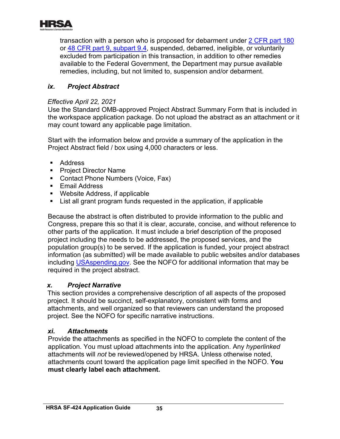<span id="page-36-1"></span>

transaction with a person who is proposed for debarment under [2 CFR part 180](http://www.ecfr.gov/cgi-bin/text-idx?tpl=/ecfrbrowse/Title02/2cfr180_main_02.tpl) or [48 CFR part 9, subpart 9.4,](http://www.ecfr.gov/cgi-bin/text-idx?SID=2068e8951dab76f7b96d51fda6d3325c&mc=true&node=sp48.1.9.9_14&rgn=div6) suspended, debarred, ineligible, or voluntarily excluded from participation in this transaction, in addition to other remedies available to the Federal Government, the Department may pursue available remedies, including, but not limited to, suspension and/or debarment.

## <span id="page-36-0"></span>*ix. Project Abstract*

#### *Effective April 22, 2021*

Use the Standard OMB-approved Project Abstract Summary Form that is included in the workspace application package. Do not upload the abstract as an attachment or it may count toward any applicable page limitation.

Start with the information below and provide a summary of the application in the Project Abstract field / box using 4,000 characters or less.

- Address
- Project Director Name
- **Contact Phone Numbers (Voice, Fax)**
- **Email Address**
- Website Address, if applicable
- List all grant program funds requested in the application, if applicable

Because the abstract is often distributed to provide information to the public and Congress, prepare this so that it is clear, accurate, concise, and without reference to other parts of the application. It must include a brief description of the proposed project including the needs to be addressed, the proposed services, and the population group(s) to be served. If the application is funded, your project abstract information (as submitted) will be made available to public websites and/or databases including [USAspending.gov.](http://www.usaspending.gov/) See the NOFO for additional information that may be required in the project abstract.

## *x. Project Narrative*

This section provides a comprehensive description of all aspects of the proposed project. It should be succinct, self-explanatory, consistent with forms and attachments, and well organized so that reviewers can understand the proposed project. See the NOFO for specific narrative instructions.

## *xi. Attachments*

Provide the attachments as specified in the NOFO to complete the content of the application. You must upload attachments into the application. Any *hyperlinked* attachments will *not* be reviewed/opened by HRSA. Unless otherwise noted, attachments count toward the application page limit specified in the NOFO. **You must clearly label each attachment.**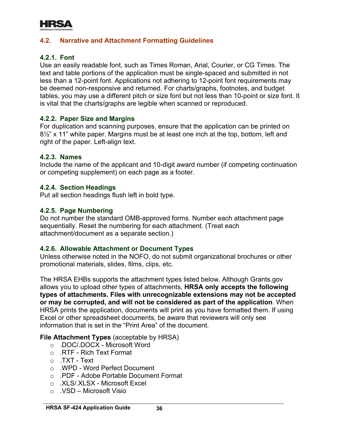

## <span id="page-37-0"></span>**4.2. Narrative and Attachment Formatting Guidelines**

## **4.2.1. Font**

Use an easily readable font, such as Times Roman, Arial, Courier, or CG Times. The text and table portions of the application must be single-spaced and submitted in not less than a 12-point font. Applications not adhering to 12-point font requirements may be deemed non-responsive and returned. For charts/graphs, footnotes, and budget tables, you may use a different pitch or size font but not less than 10-point or size font. It is vital that the charts/graphs are legible when scanned or reproduced.

#### **4.2.2. Paper Size and Margins**

For duplication and scanning purposes, ensure that the application can be printed on 8<sup>1/2"</sup> x 11" white paper. Margins must be at least one inch at the top, bottom, left and right of the paper. Left-align text.

#### **4.2.3. Names**

Include the name of the applicant and 10-digit award number (if competing continuation or competing supplement) on each page as a footer.

#### **4.2.4. Section Headings**

Put all section headings flush left in bold type.

#### **4.2.5. Page Numbering**

Do not number the standard OMB-approved forms. Number each attachment page sequentially. Reset the numbering for each attachment. (Treat each attachment/document as a separate section.)

#### **4.2.6. Allowable Attachment or Document Types**

Unless otherwise noted in the NOFO, do not submit organizational brochures or other promotional materials, slides, films, clips, etc.

The HRSA EHBs supports the attachment types listed below. Although Grants.gov allows you to upload other types of attachments, **HRSA only accepts the following types of attachments. Files with unrecognizable extensions may not be accepted or may be corrupted, and will not be considered as part of the application**. When HRSA prints the application, documents will print as you have formatted them. If using Excel or other spreadsheet documents, be aware that reviewers will only see information that is set in the "Print Area" of the document.

#### **File Attachment Types** (acceptable by HRSA)

- o .DOC/.DOCX Microsoft Word
- o .RTF Rich Text Format
- o .TXT Text
- o .WPD Word Perfect Document
- o .PDF Adobe Portable Document Format
- o .XLS/.XLSX Microsoft Excel
- $\circ$  . VSD Microsoft Visio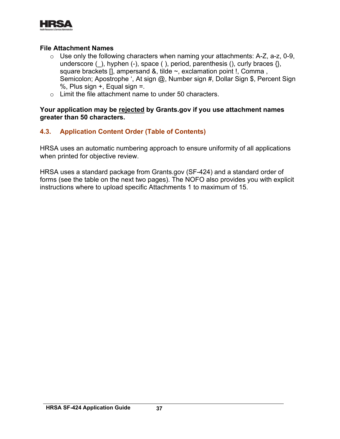

#### **File Attachment Names**

- o Use only the following characters when naming your attachments: A-Z, a-z, 0-9, underscore  $(\_)$ , hyphen  $(\-)$ , space  $(\;)$ , period, parenthesis  $(\;)$ , curly braces  $\{\}$ , square brackets [], ampersand &, tilde ~, exclamation point !, Comma , Semicolon; Apostrophe ', At sign @, Number sign #, Dollar Sign \$, Percent Sign %, Plus sign  $+$ , Equal sign  $=$ .
- o Limit the file attachment name to under 50 characters.

**Your application may be rejected by Grants.gov if you use attachment names greater than 50 characters.**

#### <span id="page-38-0"></span>**4.3. Application Content Order (Table of Contents)**

<span id="page-38-1"></span>HRSA uses an automatic numbering approach to ensure uniformity of all applications when printed for objective review.

HRSA uses a standard package from Grants.gov (SF-424) and a standard order of forms (see the table on the next two pages). The NOFO also provides you with explicit instructions where to upload specific Attachments 1 to maximum of 15.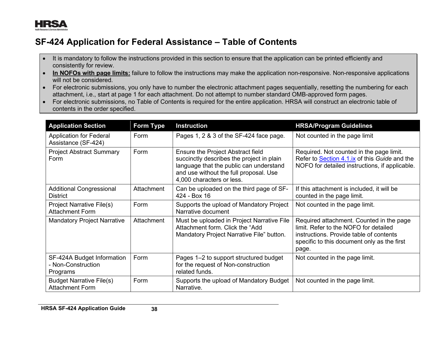

# **SF-424 Application for Federal Assistance – Table of Contents**

- It is mandatory to follow the instructions provided in this section to ensure that the application can be printed efficiently and consistently for review.
- **In NOFOs with page limits:** failure to follow the instructions may make the application non-responsive. Non-responsive applications will not be considered.
- For electronic submissions, you only have to number the electronic attachment pages sequentially, resetting the numbering for each attachment, i.e., start at page 1 for each attachment. Do not attempt to number standard OMB-approved form pages.
- For electronic submissions, no Table of Contents is required for the entire application. HRSA will construct an electronic table of contents in the order specified.

| <b>Application Section</b>                                   | Form Type  | <b>Instruction</b>                                                                                                                                                                                      | <b>HRSA/Program Guidelines</b>                                                                                                                                                       |
|--------------------------------------------------------------|------------|---------------------------------------------------------------------------------------------------------------------------------------------------------------------------------------------------------|--------------------------------------------------------------------------------------------------------------------------------------------------------------------------------------|
| <b>Application for Federal</b><br>Assistance (SF-424)        | Form       | Pages 1, 2 & 3 of the SF-424 face page.                                                                                                                                                                 | Not counted in the page limit                                                                                                                                                        |
| <b>Project Abstract Summary</b><br>Form                      | Form       | <b>Ensure the Project Abstract field</b><br>succinctly describes the project in plain<br>language that the public can understand<br>and use without the full proposal. Use<br>4,000 characters or less. | Required. Not counted in the page limit.<br>Refer to Section 4.1.ix of this Guide and the<br>NOFO for detailed instructions, if applicable.                                          |
| <b>Additional Congressional</b><br><b>District</b>           | Attachment | Can be uploaded on the third page of SF-<br>424 - Box 16                                                                                                                                                | If this attachment is included, it will be<br>counted in the page limit.                                                                                                             |
| <b>Project Narrative File(s)</b><br><b>Attachment Form</b>   | Form       | Supports the upload of Mandatory Project<br>Narrative document                                                                                                                                          | Not counted in the page limit.                                                                                                                                                       |
| <b>Mandatory Project Narrative</b>                           | Attachment | Must be uploaded in Project Narrative File<br>Attachment form. Click the "Add<br>Mandatory Project Narrative File" button.                                                                              | Required attachment. Counted in the page<br>limit. Refer to the NOFO for detailed<br>instructions. Provide table of contents<br>specific to this document only as the first<br>page. |
| SF-424A Budget Information<br>- Non-Construction<br>Programs | Form       | Pages 1-2 to support structured budget<br>for the request of Non-construction<br>related funds.                                                                                                         | Not counted in the page limit.                                                                                                                                                       |
| <b>Budget Narrative File(s)</b><br><b>Attachment Form</b>    | Form       | Supports the upload of Mandatory Budget<br>Narrative.                                                                                                                                                   | Not counted in the page limit.                                                                                                                                                       |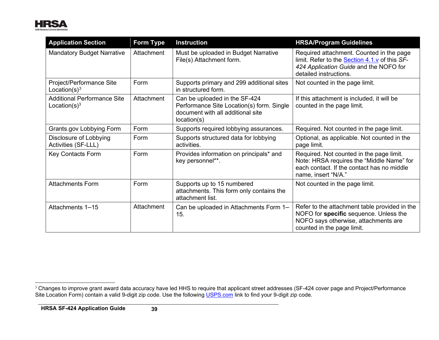

<span id="page-40-0"></span>

| <b>Application Section</b>                             | <b>Form Type</b> | <b>Instruction</b>                                                                                                             | <b>HRSA/Program Guidelines</b>                                                                                                                                       |  |
|--------------------------------------------------------|------------------|--------------------------------------------------------------------------------------------------------------------------------|----------------------------------------------------------------------------------------------------------------------------------------------------------------------|--|
| <b>Mandatory Budget Narrative</b>                      | Attachment       | Must be uploaded in Budget Narrative<br>File(s) Attachment form.                                                               | Required attachment. Counted in the page<br>limit. Refer to the <b>Section 4.1.v</b> of this SF-<br>424 Application Guide and the NOFO for<br>detailed instructions. |  |
| Project/Performance Site<br>Location(s) $3$            | Form             | Supports primary and 299 additional sites<br>in structured form.                                                               | Not counted in the page limit.                                                                                                                                       |  |
| <b>Additional Performance Site</b><br>Location $(s)^3$ | Attachment       | Can be uploaded in the SF-424<br>Performance Site Location(s) form. Single<br>document with all additional site<br>location(s) | If this attachment is included, it will be<br>counted in the page limit.                                                                                             |  |
| Grants.gov Lobbying Form                               | Form             | Supports required lobbying assurances.                                                                                         | Required. Not counted in the page limit.                                                                                                                             |  |
| Disclosure of Lobbying<br>Activities (SF-LLL)          | Form             | Supports structured data for lobbying<br>activities.                                                                           | Optional, as applicable. Not counted in the<br>page limit.                                                                                                           |  |
| <b>Key Contacts Form</b>                               | Form             | Provides information on principals* and<br>key personnel**.                                                                    | Required. Not counted in the page limit.<br>Note: HRSA requires the "Middle Name" for<br>each contact. If the contact has no middle<br>name, insert "N/A."           |  |
| <b>Attachments Form</b>                                | Form             | Supports up to 15 numbered<br>attachments. This form only contains the<br>attachment list.                                     | Not counted in the page limit.                                                                                                                                       |  |
| Attachments 1-15                                       | Attachment       | Can be uploaded in Attachments Form 1-<br>15.                                                                                  | Refer to the attachment table provided in the<br>NOFO for specific sequence. Unless the<br>NOFO says otherwise, attachments are<br>counted in the page limit.        |  |

 $^{\rm 3}$  Changes to improve grant award data accuracy have led HHS to require that applicant street addresses (SF-424 cover page and Project/Performance Site Location Form) contain a valid 9-digit zip code. Use the following <u>USPS.com</u> link to find your 9-digit zip code.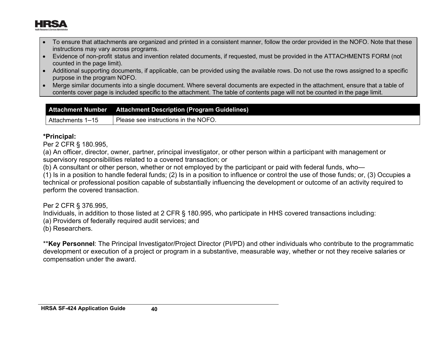

- To ensure that attachments are organized and printed in a consistent manner, follow the order provided in the NOFO. Note that these instructions may vary across programs.
- Evidence of non-profit status and invention related documents, if requested, must be provided in the ATTACHMENTS FORM (not counted in the page limit).
- Additional supporting documents, if applicable, can be provided using the available rows. Do not use the rows assigned to a specific purpose in the program NOFO.
- Merge similar documents into a single document. Where several documents are expected in the attachment, ensure that a table of contents cover page is included specific to the attachment. The table of contents page will not be counted in the page limit.

| <b>Attachment Number</b> | <b>Attachment Description (Program Guidelines)</b> |
|--------------------------|----------------------------------------------------|
| Attachments 1–15         | Please see instructions in the NOFO.               |

#### **\*Principal:**

Per 2 CFR § 180.995,

(a) An officer, director, owner, partner, principal investigator, or other person within a participant with management or supervisory responsibilities related to a covered transaction; or

(b) A consultant or other person, whether or not employed by the participant or paid with federal funds, who—

(1) Is in a position to handle federal funds; (2) Is in a position to influence or control the use of those funds; or, (3) Occupies a technical or professional position capable of substantially influencing the development or outcome of an activity required to perform the covered transaction.

Per 2 CFR § 376.995,

Individuals, in addition to those listed at 2 CFR § 180.995, who participate in HHS covered transactions including:

(a) Providers of federally required audit services; and

(b) Researchers.

<span id="page-41-0"></span>\*\***Key Personnel**: The Principal Investigator/Project Director (PI/PD) and other individuals who contribute to the programmatic development or execution of a project or program in a substantive, measurable way, whether or not they receive salaries or compensation under the award.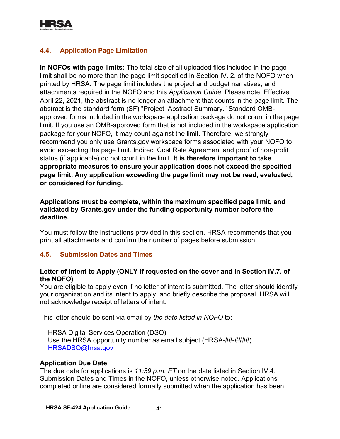

## <span id="page-42-0"></span>**4.4. Application Page Limitation**

**In NOFOs with page limits:** The total size of all uploaded files included in the page limit shall be no more than the page limit specified in Section IV. 2. of the NOFO when printed by HRSA. The page limit includes the project and budget narratives, and attachments required in the NOFO and this *Application Guide*. Please note: Effective April 22, 2021, the abstract is no longer an attachment that counts in the page limit. The abstract is the standard form (SF) "Project\_Abstract Summary." Standard OMBapproved forms included in the workspace application package do not count in the page limit. If you use an OMB-approved form that is not included in the workspace application package for your NOFO, it may count against the limit. Therefore, we strongly recommend you only use Grants.gov workspace forms associated with your NOFO to avoid exceeding the page limit. Indirect Cost Rate Agreement and proof of non-profit status (if applicable) do not count in the limit. **It is therefore important to take appropriate measures to ensure your application does not exceed the specified page limit. Any application exceeding the page limit may not be read, evaluated, or considered for funding.** 

#### **Applications must be complete, within the maximum specified page limit, and validated by Grants.gov under the funding opportunity number before the deadline.**

You must follow the instructions provided in this section. HRSA recommends that you print all attachments and confirm the number of pages before submission.

## <span id="page-42-1"></span>**4.5. Submission Dates and Times**

#### **Letter of Intent to Apply (ONLY if requested on the cover and in Section IV.7. of the NOFO)**

You are eligible to apply even if no letter of intent is submitted. The letter should identify your organization and its intent to apply, and briefly describe the proposal. HRSA will not acknowledge receipt of letters of intent.

This letter should be sent via email by *the date listed in NOFO* to:

HRSA Digital Services Operation (DSO) Use the HRSA opportunity number as email subject (HRSA-##-####) [HRSADSO@hrsa.gov](mailto:HRSADSO@hrsa.gov)

#### **Application Due Date**

The due date for applications is *11:59 p.m. ET* on the date listed in Section IV.4. Submission Dates and Times in the NOFO, unless otherwise noted. Applications completed online are considered formally submitted when the application has been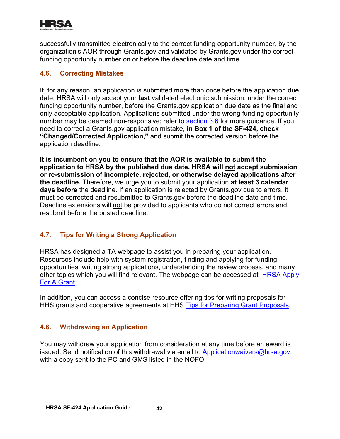

successfully transmitted electronically to the correct funding opportunity number, by the organization's AOR through Grants.gov and validated by Grants.gov under the correct funding opportunity number on or before the deadline date and time.

## <span id="page-43-0"></span>**4.6. Correcting Mistakes**

If, for any reason, an application is submitted more than once before the application due date, HRSA will only accept your **last** validated electronic submission, under the correct funding opportunity number, before the Grants.gov application due date as the final and only acceptable application. Applications submitted under the wrong funding opportunity number may be deemed non-responsive; refer to [section 3.6](#page-16-1) for more guidance. If you need to correct a Grants.gov application mistake, **in Box 1 of the SF-424, check "Changed/Corrected Application,"** and submit the corrected version before the application deadline.

**It is incumbent on you to ensure that the AOR is available to submit the application to HRSA by the published due date. HRSA will not accept submission or re-submission of incomplete, rejected, or otherwise delayed applications after the deadline.** Therefore, we urge you to submit your application **at least 3 calendar days before** the deadline. If an application is rejected by Grants.gov due to errors, it must be corrected and resubmitted to Grants.gov before the deadline date and time. Deadline extensions will not be provided to applicants who do not correct errors and resubmit before the posted deadline.

## <span id="page-43-1"></span>**4.7. Tips for Writing a Strong Application**

<u>[For A Grant](http://www.hrsa.gov/grants/apply/index.html)</u> HRSA has designed a TA webpage to assist you in preparing your application. Resources include help with system registration, finding and applying for funding opportunities, writing strong applications, understanding the review process, and many other topics which you will find relevant. The webpage can be accessed at [HRSA Apply](http://www.hrsa.gov/grants/apply/index.html) 

HHS grants and cooperative agreements at HHS <u>Tips for Preparing Grant Proposals</u>. In addition, you can access a concise resource offering tips for writing proposals for

## <span id="page-43-2"></span>**4.8. Withdrawing an Application**

You may withdraw your application from consideration at any time before an award is issued. Send notification of this withdrawal via email to [Applicationwaivers@hrsa.gov,](mailto:%20Applicationwaivers@hrsa.gov) with a copy sent to the PC and GMS listed in the NOFO.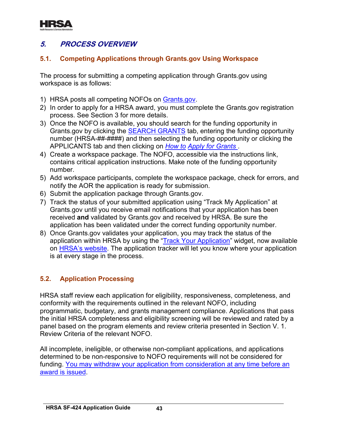

# <span id="page-44-0"></span>**5. PROCESS OVERVIEW**

## <span id="page-44-1"></span>**5.1. Competing Applications through Grants.gov Using Workspace**

The process for submitting a competing application through Grants.gov using workspace is as follows:

- 1) HRSA posts all competing NOFOs on **Grants.gov.**
- 2) In order to apply for a HRSA award, you must complete the Grants.gov registration process. See Section 3 for more details.
- . APPLICANTS tab and then clicking on *[How to](https://www.grants.gov/web/grants/applicants/apply-for-grants.html) [Apply for Grants](http://www.grants.gov/web/grants/applicants/apply-for-grants.html)*  3) Once the NOFO is available, you should search for the funding opportunity in Grants.gov by clicking the [SEARCH GRANTS](http://www.grants.gov/web/grants/search-grants.html) tab, entering the funding opportunity number (HRSA-##-####) and then selecting the funding opportunity or clicking the
- 4) Create a workspace package. The NOFO, accessible via the instructions link, contains critical application instructions. Make note of the funding opportunity number.
- 5) Add workspace participants, complete the workspace package, check for errors, and notify the AOR the application is ready for submission.
- 6) Submit the application package through Grants.gov.
- 7) Track the status of your submitted application using "Track My Application" at Grants.gov until you receive email notifications that your application has been received **and** validated by Grants.gov and received by HRSA. Be sure the application has been validated under the correct funding opportunity number.
- 8) Once Grants.gov validates your application, you may track the status of the application within HRSA by using the ["Track Your Application"](https://www.hrsa.gov/grants/apply-for-a-grant/understand-the-grants-process) widget, now available on [HRSA's website.](https://www.hrsa.gov/grants/apply/index.html) The application tracker will let you know where your application is at every stage in the process.

## <span id="page-44-2"></span>**5.2. Application Processing**

HRSA staff review each application for eligibility, responsiveness, completeness, and conformity with the requirements outlined in the relevant NOFO, including programmatic, budgetary, and grants management compliance. Applications that pass the initial HRSA completeness and eligibility screening will be reviewed and rated by a panel based on the program elements and review criteria presented in Section V. 1. Review Criteria of the relevant NOFO.

[award is issued](#page-43-2). All incomplete, ineligible, or otherwise non-compliant applications, and applications determined to be non-responsive to NOFO requirements will not be considered for funding. You may withdraw your [application from consideration at any time before an](#page-43-2)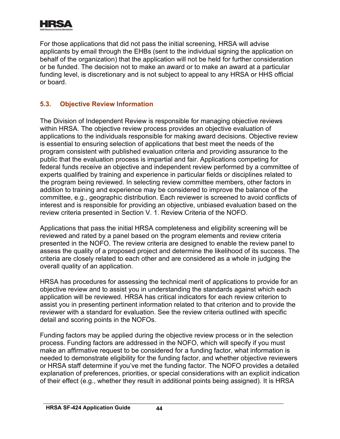

For those applications that did not pass the initial screening, HRSA will advise applicants by email through the EHBs (sent to the individual signing the application on behalf of the organization) that the application will not be held for further consideration or be funded. The decision not to make an award or to make an award at a particular funding level, is discretionary and is not subject to appeal to any HRSA or HHS official or board.

## <span id="page-45-0"></span>**5.3. Objective Review Information**

The Division of Independent Review is responsible for managing objective reviews within HRSA. The objective review process provides an objective evaluation of applications to the individuals responsible for making award decisions. Objective review is essential to ensuring selection of applications that best meet the needs of the program consistent with published evaluation criteria and providing assurance to the public that the evaluation process is impartial and fair. Applications competing for federal funds receive an objective and independent review performed by a committee of experts qualified by training and experience in particular fields or disciplines related to the program being reviewed. In selecting review committee members, other factors in addition to training and experience may be considered to improve the balance of the committee, e.g., geographic distribution. Each reviewer is screened to avoid conflicts of interest and is responsible for providing an objective, unbiased evaluation based on the review criteria presented in Section V. 1. Review Criteria of the NOFO.

Applications that pass the initial HRSA completeness and eligibility screening will be reviewed and rated by a panel based on the program elements and review criteria presented in the NOFO. The review criteria are designed to enable the review panel to assess the quality of a proposed project and determine the likelihood of its success. The criteria are closely related to each other and are considered as a whole in judging the overall quality of an application.

HRSA has procedures for assessing the technical merit of applications to provide for an objective review and to assist you in understanding the standards against which each application will be reviewed. HRSA has critical indicators for each review criterion to assist you in presenting pertinent information related to that criterion and to provide the reviewer with a standard for evaluation. See the review criteria outlined with specific detail and scoring points in the NOFOs.

Funding factors may be applied during the objective review process or in the selection process. Funding factors are addressed in the NOFO, which will specify if you must make an affirmative request to be considered for a funding factor, what information is needed to demonstrate eligibility for the funding factor, and whether objective reviewers or HRSA staff determine if you've met the funding factor. The NOFO provides a detailed explanation of preferences, priorities, or special considerations with an explicit indication of their effect (e.g., whether they result in additional points being assigned). It is HRSA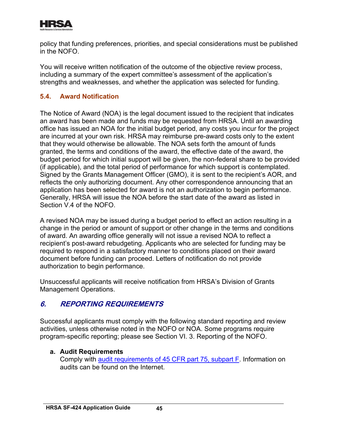

policy that funding preferences, priorities, and special considerations must be published in the NOFO.

You will receive written notification of the outcome of the objective review process, including a summary of the expert committee's assessment of the application's strengths and weaknesses, and whether the application was selected for funding.

## <span id="page-46-0"></span>**5.4. Award Notification**

The Notice of Award (NOA) is the legal document issued to the recipient that indicates an award has been made and funds may be requested from HRSA. Until an awarding office has issued an NOA for the initial budget period, any costs you incur for the project are incurred at your own risk. HRSA may reimburse pre-award costs only to the extent that they would otherwise be allowable. The NOA sets forth the amount of funds granted, the terms and conditions of the award, the effective date of the award, the budget period for which initial support will be given, the non-federal share to be provided (if applicable), and the total period of performance for which support is contemplated. Signed by the Grants Management Officer (GMO), it is sent to the recipient's AOR, and reflects the only authorizing document. Any other correspondence announcing that an application has been selected for award is not an authorization to begin performance. Generally, HRSA will issue the NOA before the start date of the award as listed in Section V.4 of the NOFO.

A revised NOA may be issued during a budget period to effect an action resulting in a change in the period or amount of support or other change in the terms and conditions of award. An awarding office generally will not issue a revised NOA to reflect a recipient's post-award rebudgeting. Applicants who are selected for funding may be required to respond in a satisfactory manner to conditions placed on their award document before funding can proceed. Letters of notification do not provide authorization to begin performance.

Unsuccessful applicants will receive notification from HRSA's Division of Grants Management Operations.

# <span id="page-46-1"></span>**6. REPORTING REQUIREMENTS**

Successful applicants must comply with the following standard reporting and review activities, unless otherwise noted in the NOFO or NOA. Some programs require program-specific reporting; please see Section VI. 3. Reporting of the NOFO.

## **a. Audit Requirements**

Comply with [audit requirements of 45 CFR part 75, subpart F.](https://www.ecfr.gov/cgi-bin/retrieveECFR?gp=1&SID=4d52364ec83fab994c665943dadf9cf7&ty=HTML&h=L&r=PART&n=pt45.1.75) Information on audits can be found on the Internet.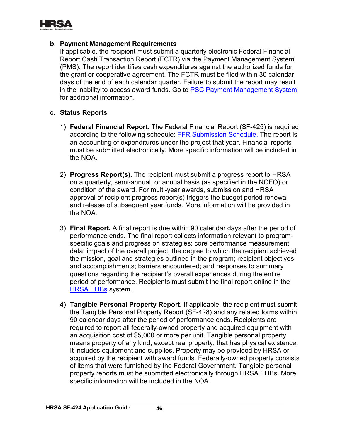

#### **b. Payment Management Requirements**

If applicable, the recipient must submit a quarterly electronic Federal Financial Report Cash Transaction Report (FCTR) via the Payment Management System (PMS). The report identifies cash expenditures against the authorized funds for the grant or cooperative agreement. The FCTR must be filed within 30 calendar days of the end of each calendar quarter. Failure to submit the report may result in the inability to access award funds. Go to [PSC Payment Management System](https://pms.psc.gov/) for additional information.

#### **c. Status Reports**

- 1) **Federal Financial Report**. The Federal Financial Report (SF-425) is required according to the following schedule: [FFR Submission Schedule.](http://www.hrsa.gov/grants/manage/technicalassistance/federalfinancialreport/ffrschedule.pdf) The report is an accounting of expenditures under the project that year. Financial reports must be submitted electronically. More specific information will be included in the NOA.
- 2) **Progress Report(s).** The recipient must submit a progress report to HRSA on a quarterly, semi-annual, or annual basis (as specified in the NOFO) or condition of the award. For multi-year awards, submission and HRSA approval of recipient progress report(s) triggers the budget period renewal and release of subsequent year funds. More information will be provided in the NOA.
- 3) **Final Report.** A final report is due within 90 calendar days after the period of performance ends. The final report collects information relevant to programspecific goals and progress on strategies; core performance measurement data; impact of the overall project; the degree to which the recipient achieved the mission, goal and strategies outlined in the program; recipient objectives and accomplishments; barriers encountered; and responses to summary questions regarding the recipient's overall experiences during the entire period of performance. Recipients must submit the final report online in the [HRSA EHBs](https://grants.hrsa.gov/grantee) system.
- 4) **Tangible Personal Property Report.** If applicable, the recipient must submit the Tangible Personal Property Report (SF-428) and any related forms within 90 calendar days after the period of performance ends. Recipients are required to report all federally-owned property and acquired equipment with an acquisition cost of \$5,000 or more per unit. Tangible personal property means property of any kind, except real property, that has physical existence. It includes equipment and supplies. Property may be provided by HRSA or acquired by the recipient with award funds. Federally-owned property consists of items that were furnished by the Federal Government. Tangible personal property reports must be submitted electronically through HRSA EHBs. More specific information will be included in the NOA.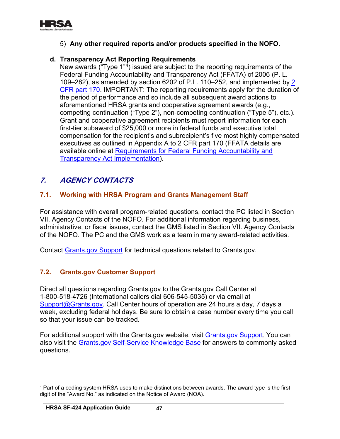

## 5) **Any other required reports and/or products specified in the NOFO.**

## **d. Transparency Act Reporting Requirements**

New awards ("Type 1"[4](#page-48-3)) issued are subject to the reporting requirements of the Federal Funding Accountability and Transparency Act (FFATA) of 2006 (P. L. 109–282), as amended by section 6202 of P.L. 110–252, and implemented by [2](http://www.ecfr.gov/cgi-bin/text-idx?c=ecfr&tpl=/ecfrbrowse/Title02/2cfr170_main_02.tpl)  [CFR part 170.](http://www.ecfr.gov/cgi-bin/text-idx?c=ecfr&tpl=/ecfrbrowse/Title02/2cfr170_main_02.tpl) IMPORTANT: The reporting requirements apply for the duration of the period of performance and so include all subsequent award actions to aforementioned HRSA grants and cooperative agreement awards (e.g., competing continuation ("Type 2"), non-competing continuation ("Type 5"), etc.). Grant and cooperative agreement recipients must report information for each first-tier subaward of \$25,000 or more in federal funds and executive total compensation for the recipient's and subrecipient's five most highly compensated executives as outlined in Appendix A to 2 CFR part 170 (FFATA details are available online at [Requirements for Federal Funding Accountability and](http://www.hrsa.gov/grants/ffata.html)  [Transparency Act Implementation\)](http://www.hrsa.gov/grants/ffata.html).

# <span id="page-48-0"></span>**7. AGENCY CONTACTS**

#### <span id="page-48-1"></span>**7.1. Working with HRSA Program and Grants Management Staff**

For assistance with overall program-related questions, contact the PC listed in Section VII. Agency Contacts of the NOFO. For additional information regarding business, administrative, or fiscal issues, contact the GMS listed in Section VII. Agency Contacts of the NOFO. The PC and the GMS work as a team in many award-related activities.

Contact [Grants.gov Support](https://www.grants.gov/web/grants/support.html) for technical questions related to Grants.gov.

## <span id="page-48-2"></span>**7.2. Grants.gov Customer Support**

Direct all questions regarding Grants.gov to the Grants.gov Call Center at 1-800-518-4726 (International callers dial 606-545-5035) or via email at [Support@Grants.gov.](mailto:Support@Grants.gov) Call Center hours of operation are 24 hours a day, 7 days a week, excluding federal holidays. Be sure to obtain a case number every time you call so that your issue can be tracked.

For additional support with the Grants.gov website, visit [Grants.gov Support](http://www.grants.gov/web/grants/support.html). You can also visit the [Grants.gov Self-Service Knowledge Base](https://grants-portal.psc.gov/Welcome.aspx?pt=Grants) for answers to commonly asked questions.

<span id="page-48-3"></span><sup>4</sup> Part of a coding system HRSA uses to make distinctions between awards. The award type is the first digit of the "Award No." as indicated on the Notice of Award (NOA).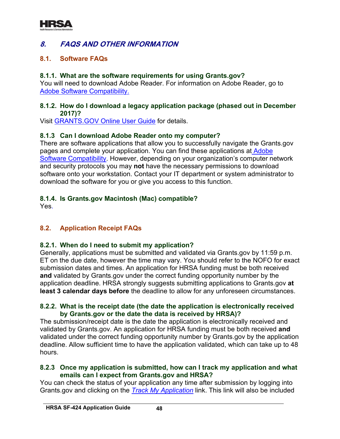

# <span id="page-49-0"></span>**8. FAQS AND OTHER INFORMATION**

#### <span id="page-49-1"></span>**8.1. Software FAQs**

#### **8.1.1. What are the software requirements for using Grants.gov?**

. [Adobe Software Compatibility](http://www.grants.gov/web/grants/applicants/adobe-software-compatibility.html) You will need to download Adobe Reader. For information on Adobe Reader, go to

#### **8.1.2. How do I download a legacy application package (phased out in December 2017)?**

Visit <u>GRANTS.GOV Online User Guide</u> for details.

#### **8.1.3 Can I download Adobe Reader onto my computer?**

There are software applications that allow you to successfully navigate the Grants.gov pages and complete your application. You can find these applications at [Adobe](http://www.grants.gov/web/grants/applicants/adobe-software-compatibility.html)  [Software Compatibility.](http://www.grants.gov/web/grants/applicants/adobe-software-compatibility.html) However, depending on your organization's computer network and security protocols you may **not** have the necessary permissions to download software onto your workstation. Contact your IT department or system administrator to download the software for you or give you access to this function.

#### **8.1.4. Is Grants.gov Macintosh (Mac) compatible?**

Yes.

## <span id="page-49-2"></span>**8.2. Application Receipt FAQs**

#### **8.2.1. When do I need to submit my application?**

Generally, applications must be submitted and validated via Grants.gov by 11:59 p.m. ET on the due date, however the time may vary. You should refer to the NOFO for exact submission dates and times. An application for HRSA funding must be both received **and** validated by Grants.gov under the correct funding opportunity number by the application deadline. HRSA strongly suggests submitting applications to Grants.gov **at least 3 calendar days before** the deadline to allow for any unforeseen circumstances.

#### **8.2.2. What is the receipt date (the date the application is electronically received by Grants.gov or the date the data is received by HRSA)?**

The submission/receipt date is the date the application is electronically received and validated by Grants.gov. An application for HRSA funding must be both received **and** validated under the correct funding opportunity number by Grants.gov by the application deadline. Allow sufficient time to have the application validated, which can take up to 48 hours.

#### **8.2.3 Once my application is submitted, how can I track my application and what emails can I expect from Grants.gov and HRSA?**

You can check the status of your application any time after submission by logging into Grants.gov and clicking on the *[Track My Application](http://www.grants.gov/web/grants/applicants/track-my-application.html)* link. This link will also be included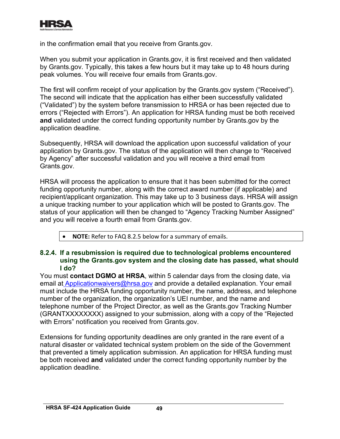

in the confirmation email that you receive from Grants.gov.

When you submit your application in Grants.gov, it is first received and then validated by Grants.gov. Typically, this takes a few hours but it may take up to 48 hours during peak volumes. You will receive four emails from Grants.gov.

The first will confirm receipt of your application by the Grants.gov system ("Received"). The second will indicate that the application has either been successfully validated ("Validated") by the system before transmission to HRSA or has been rejected due to errors ("Rejected with Errors"). An application for HRSA funding must be both received **and** validated under the correct funding opportunity number by Grants.gov by the application deadline.

Subsequently, HRSA will download the application upon successful validation of your application by Grants.gov. The status of the application will then change to "Received by Agency" after successful validation and you will receive a third email from Grants.gov.

HRSA will process the application to ensure that it has been submitted for the correct funding opportunity number, along with the correct award number (if applicable) and recipient/applicant organization. This may take up to 3 business days. HRSA will assign a unique tracking number to your application which will be posted to Grants.gov. The status of your application will then be changed to "Agency Tracking Number Assigned" and you will receive a fourth email from Grants.gov.

• **NOTE:** Refer to FAQ 8.2.5 below for a summary of emails.

#### **8.2.4. If a resubmission is required due to technological problems encountered using the Grants.gov system and the closing date has passed, what should I do?**

You must **contact DGMO at HRSA**, within 5 calendar days from the closing date, via email at [Applicationwaivers@hrsa.gov](mailto:%20Applicationwaivers@hrsa.gov) and provide a detailed explanation. Your email must include the HRSA funding opportunity number, the name, address, and telephone number of the organization, the organization's UEI number, and the name and telephone number of the Project Director, as well as the Grants.gov Tracking Number (GRANTXXXXXXXX) assigned to your submission, along with a copy of the "Rejected with Errors" notification you received from Grants.gov.

Extensions for funding opportunity deadlines are only granted in the rare event of a natural disaster or validated technical system problem on the side of the Government that prevented a timely application submission. An application for HRSA funding must be both received **and** validated under the correct funding opportunity number by the application deadline.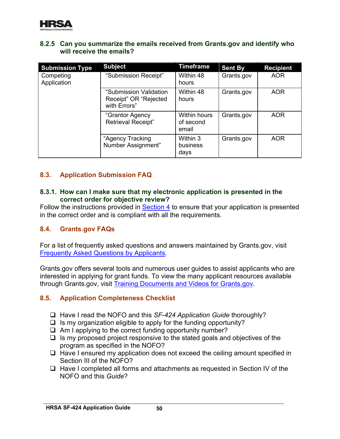

#### **8.2.5 Can you summarize the emails received from Grants.gov and identify who will receive the emails?**

| <b>Submission Type</b>   | <b>Subject</b>                                                  | <b>Timeframe</b>                   | <b>Sent By</b> | <b>Recipient</b> |
|--------------------------|-----------------------------------------------------------------|------------------------------------|----------------|------------------|
| Competing<br>Application | "Submission Receipt"                                            | Within 48<br>hours                 | Grants.gov     | <b>AOR</b>       |
|                          | "Submission Validation<br>Receipt" OR "Rejected<br>with Errors" | Within 48<br>hours                 | Grants.gov     | <b>AOR</b>       |
|                          | "Grantor Agency<br><b>Retrieval Receipt"</b>                    | Within hours<br>of second<br>email | Grants.gov     | <b>AOR</b>       |
|                          | "Agency Tracking<br>Number Assignment"                          | Within 3<br>business<br>days       | Grants.gov     | <b>AOR</b>       |

## <span id="page-51-0"></span>**8.3. Application Submission FAQ**

#### **8.3.1. How can I make sure that my electronic application is presented in the correct order for objective review?**

Follow the instructions provided in **Section 4** to ensure that your application is presented in the correct order and is compliant with all the requirements.

#### <span id="page-51-1"></span>**8.4. Grants.gov FAQs**

. [Frequently Asked Questions by Applicants](http://www.grants.gov/web/grants/applicants/applicant-faqs.html) For a list of frequently asked questions and answers maintained by Grants.gov, visit

through Grants.gov, visit <u>Training Documents and Videos for Grants.gov</u> Grants.gov offers several tools and numerous user guides to assist applicants who are interested in applying for grant funds. To view the many applicant resources available

#### <span id="page-51-2"></span>**8.5. Application Completeness Checklist**

- □ Have I read the NOFO and this *SF-424 Application Guide* thoroughly?
- $\Box$  Is my organization eligible to apply for the funding opportunity?
- $\Box$  Am I applying to the correct funding opportunity number?
- $\Box$  Is my proposed project responsive to the stated goals and objectives of the program as specified in the NOFO?
- $\Box$  Have I ensured my application does not exceed the ceiling amount specified in Section III of the NOFO?
- $\Box$  Have I completed all forms and attachments as requested in Section IV of the NOFO and this *Guide*?